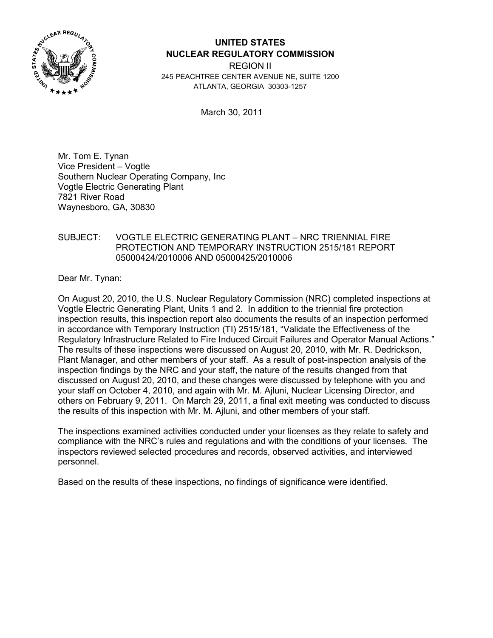

# **UNITED STATES NUCLEAR REGULATORY COMMISSION**

REGION II 245 PEACHTREE CENTER AVENUE NE, SUITE 1200 ATLANTA, GEORGIA 30303-1257

March 30, 2011

Mr. Tom E. Tynan Vice President – Vogtle Southern Nuclear Operating Company, Inc Vogtle Electric Generating Plant 7821 River Road Waynesboro, GA, 30830

# SUBJECT: VOGTLE ELECTRIC GENERATING PLANT – NRC TRIENNIAL FIRE PROTECTION AND TEMPORARY INSTRUCTION 2515/181 REPORT 05000424/2010006 AND 05000425/2010006

Dear Mr. Tynan:

On August 20, 2010, the U.S. Nuclear Regulatory Commission (NRC) completed inspections at Vogtle Electric Generating Plant, Units 1 and 2. In addition to the triennial fire protection inspection results, this inspection report also documents the results of an inspection performed in accordance with Temporary Instruction (TI) 2515/181, "Validate the Effectiveness of the Regulatory Infrastructure Related to Fire Induced Circuit Failures and Operator Manual Actions." The results of these inspections were discussed on August 20, 2010, with Mr. R. Dedrickson, Plant Manager, and other members of your staff. As a result of post-inspection analysis of the inspection findings by the NRC and your staff, the nature of the results changed from that discussed on August 20, 2010, and these changes were discussed by telephone with you and your staff on October 4, 2010, and again with Mr. M. Ajluni, Nuclear Licensing Director, and others on February 9, 2011. On March 29, 2011, a final exit meeting was conducted to discuss the results of this inspection with Mr. M. Ajluni, and other members of your staff.

The inspections examined activities conducted under your licenses as they relate to safety and compliance with the NRC's rules and regulations and with the conditions of your licenses. The inspectors reviewed selected procedures and records, observed activities, and interviewed personnel.

Based on the results of these inspections, no findings of significance were identified.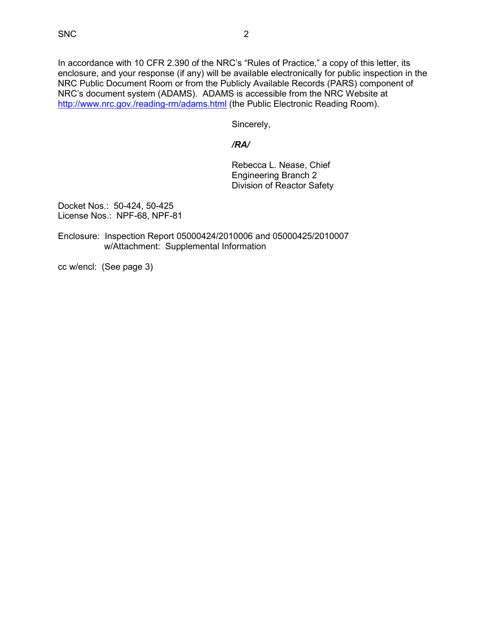In accordance with 10 CFR 2.390 of the NRC's "Rules of Practice," a copy of this letter, its enclosure, and your response (if any) will be available electronically for public inspection in the NRC Public Document Room or from the Publicly Available Records (PARS) component of NRC's document system (ADAMS). ADAMS is accessible from the NRC Website at http://www.nrc.gov./reading-rm/adams.html (the Public Electronic Reading Room).

Sincerely,

# */RA/*

 Rebecca L. Nease, Chief Engineering Branch 2 Division of Reactor Safety

Docket Nos.: 50-424, 50-425 License Nos.: NPF-68, NPF-81

Enclosure: Inspection Report 05000424/2010006 and 05000425/2010007 w/Attachment: Supplemental Information

cc w/encl: (See page 3)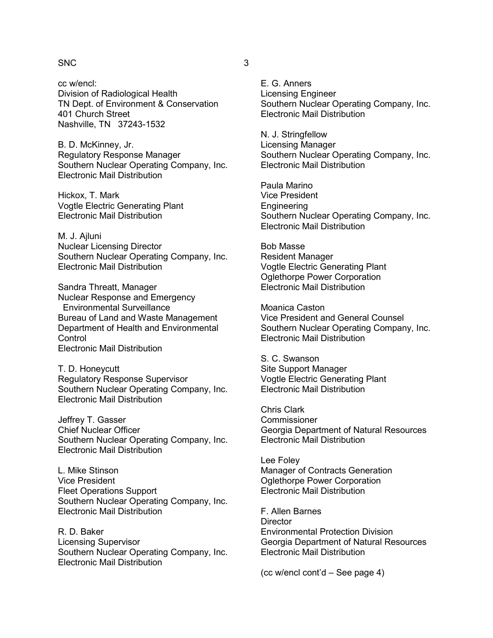#### $SNC$  3

cc w/encl: Division of Radiological Health TN Dept. of Environment & Conservation 401 Church Street Nashville, TN 37243-1532

B. D. McKinney, Jr. Regulatory Response Manager Southern Nuclear Operating Company, Inc. Electronic Mail Distribution

Hickox, T. Mark Vogtle Electric Generating Plant Electronic Mail Distribution

M. J. Ailuni Nuclear Licensing Director Southern Nuclear Operating Company, Inc. Electronic Mail Distribution

Sandra Threatt, Manager Nuclear Response and Emergency Environmental Surveillance Bureau of Land and Waste Management Department of Health and Environmental **Control** Electronic Mail Distribution

T. D. Honeycutt Regulatory Response Supervisor Southern Nuclear Operating Company, Inc. Electronic Mail Distribution

Jeffrey T. Gasser Chief Nuclear Officer Southern Nuclear Operating Company, Inc. Electronic Mail Distribution

L. Mike Stinson Vice President Fleet Operations Support Southern Nuclear Operating Company, Inc. Electronic Mail Distribution

R. D. Baker Licensing Supervisor Southern Nuclear Operating Company, Inc. Electronic Mail Distribution

E. G. Anners Licensing Engineer Southern Nuclear Operating Company, Inc. Electronic Mail Distribution

N. J. Stringfellow Licensing Manager Southern Nuclear Operating Company, Inc. Electronic Mail Distribution

Paula Marino Vice President Engineering Southern Nuclear Operating Company, Inc. Electronic Mail Distribution

Bob Masse Resident Manager Vogtle Electric Generating Plant Oglethorpe Power Corporation Electronic Mail Distribution

Moanica Caston Vice President and General Counsel Southern Nuclear Operating Company, Inc. Electronic Mail Distribution

S. C. Swanson Site Support Manager Vogtle Electric Generating Plant Electronic Mail Distribution

Chris Clark **Commissioner** Georgia Department of Natural Resources Electronic Mail Distribution

Lee Foley Manager of Contracts Generation Oglethorpe Power Corporation Electronic Mail Distribution

F. Allen Barnes **Director** Environmental Protection Division Georgia Department of Natural Resources Electronic Mail Distribution

(cc w/encl cont'd – See page 4)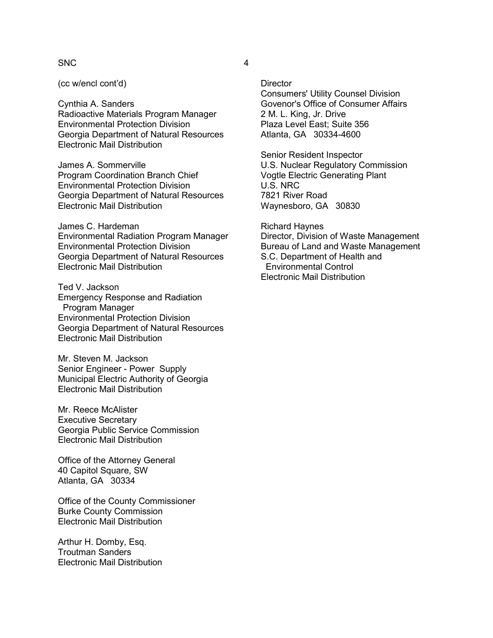#### SNC 4

(cc w/encl cont'd)

Cynthia A. Sanders Radioactive Materials Program Manager Environmental Protection Division Georgia Department of Natural Resources Electronic Mail Distribution

James A. Sommerville Program Coordination Branch Chief Environmental Protection Division Georgia Department of Natural Resources Electronic Mail Distribution

James C. Hardeman Environmental Radiation Program Manager Environmental Protection Division Georgia Department of Natural Resources Electronic Mail Distribution

Ted V. Jackson Emergency Response and Radiation Program Manager Environmental Protection Division Georgia Department of Natural Resources Electronic Mail Distribution

Mr. Steven M. Jackson Senior Engineer - Power Supply Municipal Electric Authority of Georgia Electronic Mail Distribution

Mr. Reece McAlister Executive Secretary Georgia Public Service Commission Electronic Mail Distribution

Office of the Attorney General 40 Capitol Square, SW Atlanta, GA 30334

Office of the County Commissioner Burke County Commission Electronic Mail Distribution

Arthur H. Domby, Esq. Troutman Sanders Electronic Mail Distribution

**Director** 

Consumers' Utility Counsel Division Govenor's Office of Consumer Affairs 2 M. L. King, Jr. Drive Plaza Level East; Suite 356 Atlanta, GA 30334-4600

Senior Resident Inspector U.S. Nuclear Regulatory Commission Vogtle Electric Generating Plant U.S. NRC 7821 River Road Waynesboro, GA 30830

Richard Haynes Director, Division of Waste Management Bureau of Land and Waste Management S.C. Department of Health and Environmental Control Electronic Mail Distribution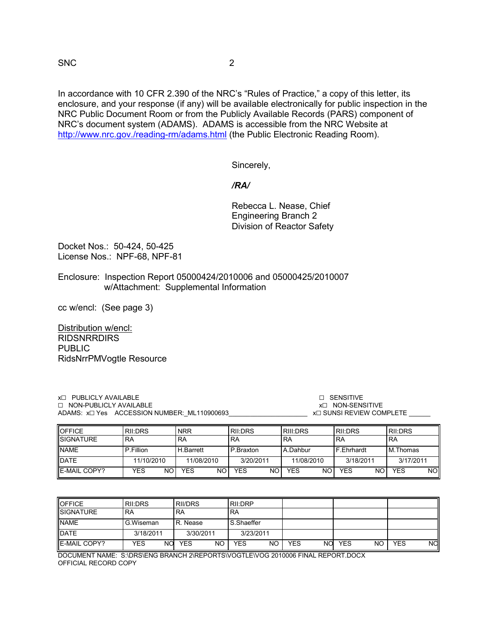SNC 2

In accordance with 10 CFR 2.390 of the NRC's "Rules of Practice," a copy of this letter, its enclosure, and your response (if any) will be available electronically for public inspection in the NRC Public Document Room or from the Publicly Available Records (PARS) component of NRC's document system (ADAMS). ADAMS is accessible from the NRC Website at http://www.nrc.gov./reading-rm/adams.html (the Public Electronic Reading Room).

Sincerely,

# */RA/*

 Rebecca L. Nease, Chief Engineering Branch 2 Division of Reactor Safety

Docket Nos.: 50-424, 50-425 License Nos.: NPF-68, NPF-81

Enclosure: Inspection Report 05000424/2010006 and 05000425/2010007 w/Attachment: Supplemental Information

cc w/encl: (See page 3)

Distribution w/encl: RIDSNRRDIRS PUBLIC RidsNrrPMVogtle Resource

| <b>x</b> □ PUBLICLY AVAILABLE<br>$\Box$ NON-PUBLICLY AVAILABLE<br>ADAMS: x□ Yes ACCESSION NUMBER: ML110900693 |         |            |                | п        | <b>SENSITIVE</b><br><b>X<sub>D</sub></b> NON-SENSITIVE<br><b>x</b> ⊟ SUNSI REVIEW COMPLETE |         |
|---------------------------------------------------------------------------------------------------------------|---------|------------|----------------|----------|--------------------------------------------------------------------------------------------|---------|
| <b>OFFICE</b>                                                                                                 | RII:DRS | <b>NRR</b> | <b>RII:DRS</b> | RIII:DRS | <b>IRILDRS</b>                                                                             | RII:DRS |

| <b>IUFFIUE</b>      | I KII:DKS  | <b>NRR</b>  | I KII:DRS  | I KIII:DKS | I KII:DKS  | I KII:DKS  |
|---------------------|------------|-------------|------------|------------|------------|------------|
| <b>SIGNATURE</b>    | <b>RA</b>  | RA          | <b>RA</b>  | 'RA        | <b>RA</b>  | <b>RA</b>  |
| <b>NAME</b>         | P.Fillion  | H.Barrett   | P.Braxton  | A.Dahbur   | F.Ehrhardt | M.Thomas   |
| <b>DATE</b>         | 11/10/2010 | 11/08/2010  | 3/20/2011  | 11/08/2010 | 3/18/2011  | 3/17/2011  |
| <b>E-MAIL COPY?</b> | NO.<br>YES | NO I<br>YES | NOI<br>YES | NC<br>YES  | NO<br>YES  | NOl<br>YES |

| <b>OFFICE</b>    | RII:DRS          | RII/DRS                 | <b>RII:DRP</b> |                  |                  |           |
|------------------|------------------|-------------------------|----------------|------------------|------------------|-----------|
| <b>SIGNATURE</b> | 'RA              | RA                      | <b>RA</b>      |                  |                  |           |
| <b>NAME</b>      | G.Wiseman        | R. Nease                | S.Shaeffer     |                  |                  |           |
| <b>DATE</b>      | 3/18/2011        | 3/30/2011               | 3/23/2011      |                  |                  |           |
| E-MAIL COPY?     | <b>NO</b><br>YES | <b>NO</b><br><b>YES</b> | NΟ<br>YES      | <b>YES</b><br>NΟ | <b>YES</b><br>NO | NO<br>YES |

DOCUMENT NAME: S:\DRS\ENG BRANCH 2\REPORTS\VOGTLE\VOG 2010006 FINAL REPORT.DOCX OFFICIAL RECORD COPY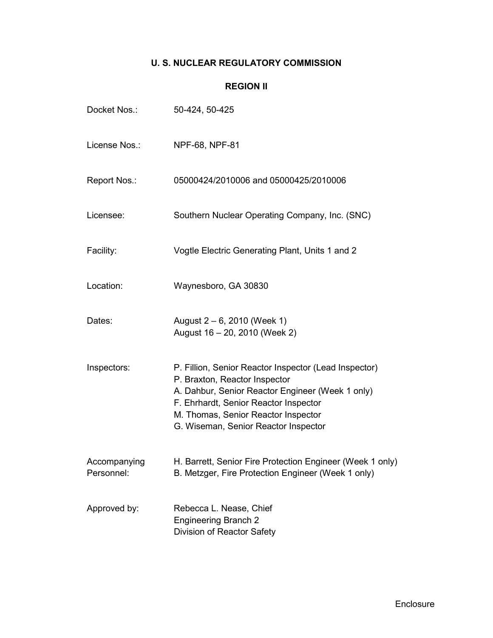# **U. S. NUCLEAR REGULATORY COMMISSION**

# **REGION II**

| Docket Nos.:               | 50-424, 50-425                                                                                                                                                                                                                                                     |
|----------------------------|--------------------------------------------------------------------------------------------------------------------------------------------------------------------------------------------------------------------------------------------------------------------|
| License Nos.:              | NPF-68, NPF-81                                                                                                                                                                                                                                                     |
| Report Nos.:               | 05000424/2010006 and 05000425/2010006                                                                                                                                                                                                                              |
| Licensee:                  | Southern Nuclear Operating Company, Inc. (SNC)                                                                                                                                                                                                                     |
| Facility:                  | Vogtle Electric Generating Plant, Units 1 and 2                                                                                                                                                                                                                    |
| Location:                  | Waynesboro, GA 30830                                                                                                                                                                                                                                               |
| Dates:                     | August $2 - 6$ , 2010 (Week 1)<br>August 16 - 20, 2010 (Week 2)                                                                                                                                                                                                    |
| Inspectors:                | P. Fillion, Senior Reactor Inspector (Lead Inspector)<br>P. Braxton, Reactor Inspector<br>A. Dahbur, Senior Reactor Engineer (Week 1 only)<br>F. Ehrhardt, Senior Reactor Inspector<br>M. Thomas, Senior Reactor Inspector<br>G. Wiseman, Senior Reactor Inspector |
| Accompanying<br>Personnel: | H. Barrett, Senior Fire Protection Engineer (Week 1 only)<br>B. Metzger, Fire Protection Engineer (Week 1 only)                                                                                                                                                    |
| Approved by:               | Rebecca L. Nease, Chief<br><b>Engineering Branch 2</b><br>Division of Reactor Safety                                                                                                                                                                               |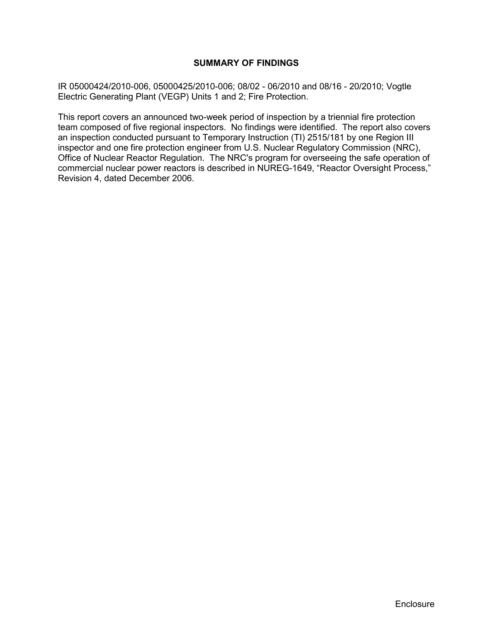# **SUMMARY OF FINDINGS**

IR 05000424/2010-006, 05000425/2010-006; 08/02 - 06/2010 and 08/16 - 20/2010; Vogtle Electric Generating Plant (VEGP) Units 1 and 2; Fire Protection.

This report covers an announced two-week period of inspection by a triennial fire protection team composed of five regional inspectors. No findings were identified. The report also covers an inspection conducted pursuant to Temporary Instruction (TI) 2515/181 by one Region III inspector and one fire protection engineer from U.S. Nuclear Regulatory Commission (NRC), Office of Nuclear Reactor Regulation. The NRC's program for overseeing the safe operation of commercial nuclear power reactors is described in NUREG-1649, "Reactor Oversight Process," Revision 4, dated December 2006.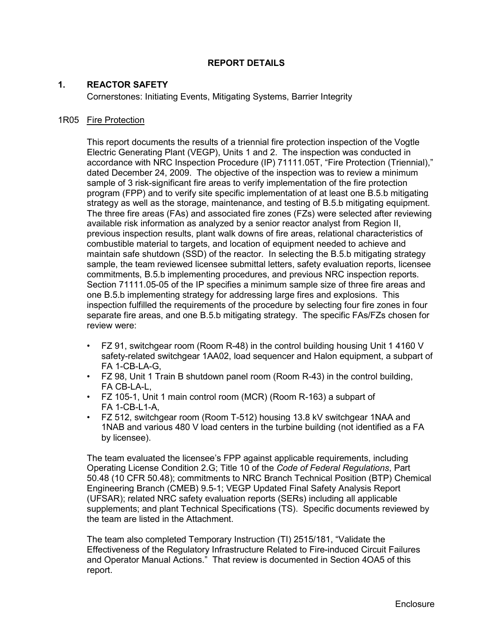# **REPORT DETAILS**

# **1. REACTOR SAFETY**

Cornerstones: Initiating Events, Mitigating Systems, Barrier Integrity

#### 1R05 Fire Protection

This report documents the results of a triennial fire protection inspection of the Vogtle Electric Generating Plant (VEGP), Units 1 and 2. The inspection was conducted in accordance with NRC Inspection Procedure (IP) 71111.05T, "Fire Protection (Triennial)," dated December 24, 2009. The objective of the inspection was to review a minimum sample of 3 risk-significant fire areas to verify implementation of the fire protection program (FPP) and to verify site specific implementation of at least one B.5.b mitigating strategy as well as the storage, maintenance, and testing of B.5.b mitigating equipment. The three fire areas (FAs) and associated fire zones (FZs) were selected after reviewing available risk information as analyzed by a senior reactor analyst from Region II, previous inspection results, plant walk downs of fire areas, relational characteristics of combustible material to targets, and location of equipment needed to achieve and maintain safe shutdown (SSD) of the reactor. In selecting the B.5.b mitigating strategy sample, the team reviewed licensee submittal letters, safety evaluation reports, licensee commitments, B.5.b implementing procedures, and previous NRC inspection reports. Section 71111.05-05 of the IP specifies a minimum sample size of three fire areas and one B.5.b implementing strategy for addressing large fires and explosions. This inspection fulfilled the requirements of the procedure by selecting four fire zones in four separate fire areas, and one B.5.b mitigating strategy. The specific FAs/FZs chosen for review were:

- FZ 91, switchgear room (Room R-48) in the control building housing Unit 1 4160 V safety-related switchgear 1AA02, load sequencer and Halon equipment, a subpart of FA 1-CB-LA-G,
- FZ 98, Unit 1 Train B shutdown panel room (Room R-43) in the control building, FA CB-LA-L,
- FZ 105-1, Unit 1 main control room (MCR) (Room R-163) a subpart of FA 1-CB-L1-A,
- FZ 512, switchgear room (Room T-512) housing 13.8 kV switchgear 1NAA and 1NAB and various 480 V load centers in the turbine building (not identified as a FA by licensee).

The team evaluated the licensee's FPP against applicable requirements, including Operating License Condition 2.G; Title 10 of the *Code of Federal Regulations*, Part 50.48 (10 CFR 50.48); commitments to NRC Branch Technical Position (BTP) Chemical Engineering Branch (CMEB) 9.5-1; VEGP Updated Final Safety Analysis Report (UFSAR); related NRC safety evaluation reports (SERs) including all applicable supplements; and plant Technical Specifications (TS). Specific documents reviewed by the team are listed in the Attachment.

The team also completed Temporary Instruction (TI) 2515/181, "Validate the Effectiveness of the Regulatory Infrastructure Related to Fire-induced Circuit Failures and Operator Manual Actions." That review is documented in Section 4OA5 of this report.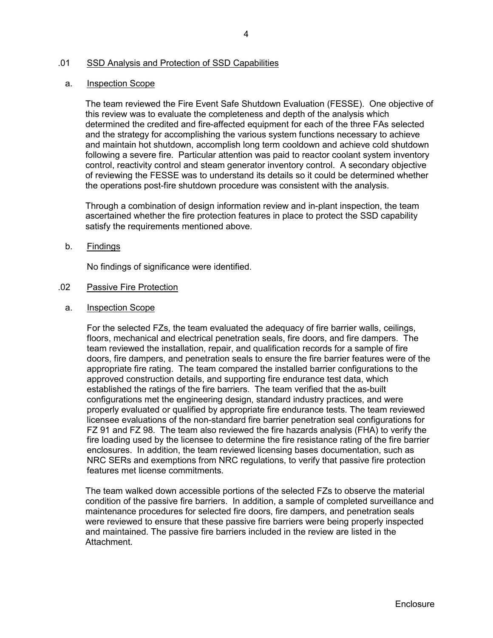# .01 SSD Analysis and Protection of SSD Capabilities

#### a. Inspection Scope

The team reviewed the Fire Event Safe Shutdown Evaluation (FESSE). One objective of this review was to evaluate the completeness and depth of the analysis which determined the credited and fire-affected equipment for each of the three FAs selected and the strategy for accomplishing the various system functions necessary to achieve and maintain hot shutdown, accomplish long term cooldown and achieve cold shutdown following a severe fire. Particular attention was paid to reactor coolant system inventory control, reactivity control and steam generator inventory control. A secondary objective of reviewing the FESSE was to understand its details so it could be determined whether the operations post-fire shutdown procedure was consistent with the analysis.

Through a combination of design information review and in-plant inspection, the team ascertained whether the fire protection features in place to protect the SSD capability satisfy the requirements mentioned above.

#### b. Findings

No findings of significance were identified.

#### .02 Passive Fire Protection

a. Inspection Scope

For the selected FZs, the team evaluated the adequacy of fire barrier walls, ceilings, floors, mechanical and electrical penetration seals, fire doors, and fire dampers. The team reviewed the installation, repair, and qualification records for a sample of fire doors, fire dampers, and penetration seals to ensure the fire barrier features were of the appropriate fire rating. The team compared the installed barrier configurations to the approved construction details, and supporting fire endurance test data, which established the ratings of the fire barriers. The team verified that the as-built configurations met the engineering design, standard industry practices, and were properly evaluated or qualified by appropriate fire endurance tests. The team reviewed licensee evaluations of the non-standard fire barrier penetration seal configurations for FZ 91 and FZ 98. The team also reviewed the fire hazards analysis (FHA) to verify the fire loading used by the licensee to determine the fire resistance rating of the fire barrier enclosures. In addition, the team reviewed licensing bases documentation, such as NRC SERs and exemptions from NRC regulations, to verify that passive fire protection features met license commitments.

The team walked down accessible portions of the selected FZs to observe the material condition of the passive fire barriers. In addition, a sample of completed surveillance and maintenance procedures for selected fire doors, fire dampers, and penetration seals were reviewed to ensure that these passive fire barriers were being properly inspected and maintained. The passive fire barriers included in the review are listed in the Attachment.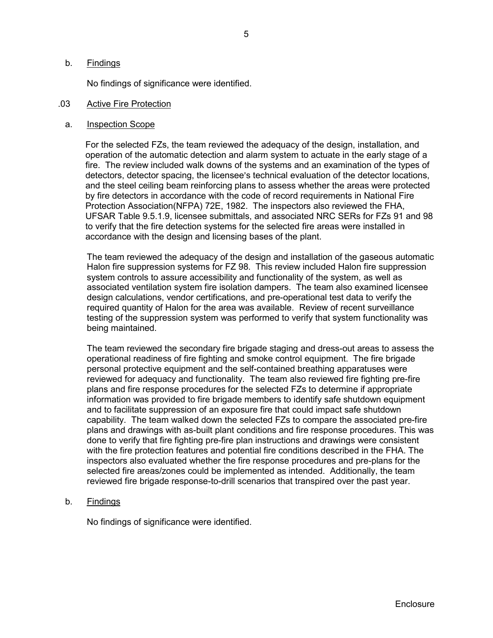### b. Findings

No findings of significance were identified.

#### .03 Active Fire Protection

#### a. Inspection Scope

For the selected FZs, the team reviewed the adequacy of the design, installation, and operation of the automatic detection and alarm system to actuate in the early stage of a fire. The review included walk downs of the systems and an examination of the types of detectors, detector spacing, the licensee's technical evaluation of the detector locations, and the steel ceiling beam reinforcing plans to assess whether the areas were protected by fire detectors in accordance with the code of record requirements in National Fire Protection Association(NFPA) 72E, 1982. The inspectors also reviewed the FHA, UFSAR Table 9.5.1.9, licensee submittals, and associated NRC SERs for FZs 91 and 98 to verify that the fire detection systems for the selected fire areas were installed in accordance with the design and licensing bases of the plant.

The team reviewed the adequacy of the design and installation of the gaseous automatic Halon fire suppression systems for FZ 98. This review included Halon fire suppression system controls to assure accessibility and functionality of the system, as well as associated ventilation system fire isolation dampers. The team also examined licensee design calculations, vendor certifications, and pre-operational test data to verify the required quantity of Halon for the area was available. Review of recent surveillance testing of the suppression system was performed to verify that system functionality was being maintained.

The team reviewed the secondary fire brigade staging and dress-out areas to assess the operational readiness of fire fighting and smoke control equipment. The fire brigade personal protective equipment and the self-contained breathing apparatuses were reviewed for adequacy and functionality. The team also reviewed fire fighting pre-fire plans and fire response procedures for the selected FZs to determine if appropriate information was provided to fire brigade members to identify safe shutdown equipment and to facilitate suppression of an exposure fire that could impact safe shutdown capability. The team walked down the selected FZs to compare the associated pre-fire plans and drawings with as-built plant conditions and fire response procedures. This was done to verify that fire fighting pre-fire plan instructions and drawings were consistent with the fire protection features and potential fire conditions described in the FHA. The inspectors also evaluated whether the fire response procedures and pre-plans for the selected fire areas/zones could be implemented as intended. Additionally, the team reviewed fire brigade response-to-drill scenarios that transpired over the past year.

b. Findings

No findings of significance were identified.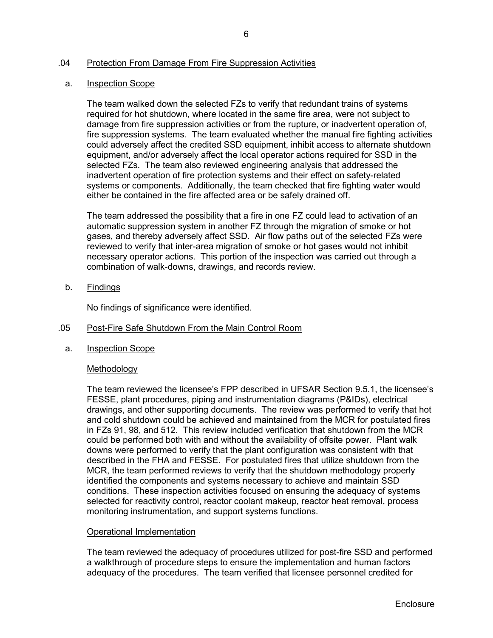# .04 Protection From Damage From Fire Suppression Activities

#### a. Inspection Scope

The team walked down the selected FZs to verify that redundant trains of systems required for hot shutdown, where located in the same fire area, were not subject to damage from fire suppression activities or from the rupture, or inadvertent operation of, fire suppression systems. The team evaluated whether the manual fire fighting activities could adversely affect the credited SSD equipment, inhibit access to alternate shutdown equipment, and/or adversely affect the local operator actions required for SSD in the selected FZs. The team also reviewed engineering analysis that addressed the inadvertent operation of fire protection systems and their effect on safety-related systems or components. Additionally, the team checked that fire fighting water would either be contained in the fire affected area or be safely drained off.

The team addressed the possibility that a fire in one FZ could lead to activation of an automatic suppression system in another FZ through the migration of smoke or hot gases, and thereby adversely affect SSD. Air flow paths out of the selected FZs were reviewed to verify that inter-area migration of smoke or hot gases would not inhibit necessary operator actions. This portion of the inspection was carried out through a combination of walk-downs, drawings, and records review.

b. Findings

No findings of significance were identified.

#### .05 Post-Fire Safe Shutdown From the Main Control Room

a. Inspection Scope

# Methodology

The team reviewed the licensee's FPP described in UFSAR Section 9.5.1, the licensee's FESSE, plant procedures, piping and instrumentation diagrams (P&IDs), electrical drawings, and other supporting documents. The review was performed to verify that hot and cold shutdown could be achieved and maintained from the MCR for postulated fires in FZs 91, 98, and 512. This review included verification that shutdown from the MCR could be performed both with and without the availability of offsite power. Plant walk downs were performed to verify that the plant configuration was consistent with that described in the FHA and FESSE. For postulated fires that utilize shutdown from the MCR, the team performed reviews to verify that the shutdown methodology properly identified the components and systems necessary to achieve and maintain SSD conditions. These inspection activities focused on ensuring the adequacy of systems selected for reactivity control, reactor coolant makeup, reactor heat removal, process monitoring instrumentation, and support systems functions.

# Operational Implementation

The team reviewed the adequacy of procedures utilized for post-fire SSD and performed a walkthrough of procedure steps to ensure the implementation and human factors adequacy of the procedures. The team verified that licensee personnel credited for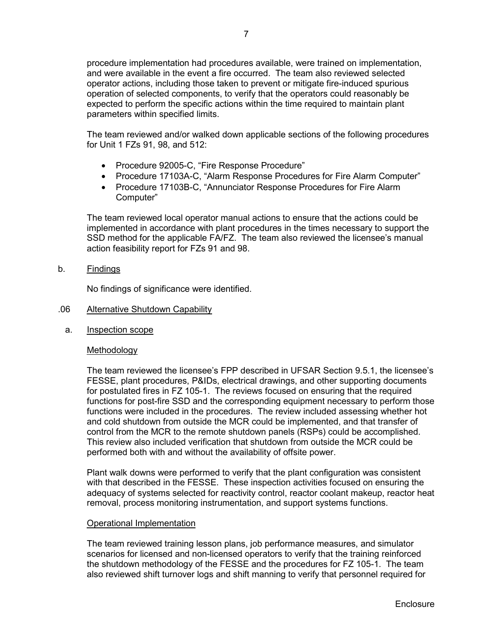procedure implementation had procedures available, were trained on implementation, and were available in the event a fire occurred. The team also reviewed selected operator actions, including those taken to prevent or mitigate fire-induced spurious operation of selected components, to verify that the operators could reasonably be expected to perform the specific actions within the time required to maintain plant parameters within specified limits.

The team reviewed and/or walked down applicable sections of the following procedures for Unit 1 FZs 91, 98, and 512:

- Procedure 92005-C, "Fire Response Procedure"
- Procedure 17103A-C, "Alarm Response Procedures for Fire Alarm Computer"
- Procedure 17103B-C, "Annunciator Response Procedures for Fire Alarm Computer"

The team reviewed local operator manual actions to ensure that the actions could be implemented in accordance with plant procedures in the times necessary to support the SSD method for the applicable FA/FZ. The team also reviewed the licensee's manual action feasibility report for FZs 91 and 98.

b. Findings

No findings of significance were identified.

- .06 Alternative Shutdown Capability
	- a. Inspection scope

#### Methodology

The team reviewed the licensee's FPP described in UFSAR Section 9.5.1, the licensee's FESSE, plant procedures, P&IDs, electrical drawings, and other supporting documents for postulated fires in FZ 105-1. The reviews focused on ensuring that the required functions for post-fire SSD and the corresponding equipment necessary to perform those functions were included in the procedures. The review included assessing whether hot and cold shutdown from outside the MCR could be implemented, and that transfer of control from the MCR to the remote shutdown panels (RSPs) could be accomplished. This review also included verification that shutdown from outside the MCR could be performed both with and without the availability of offsite power.

Plant walk downs were performed to verify that the plant configuration was consistent with that described in the FESSE. These inspection activities focused on ensuring the adequacy of systems selected for reactivity control, reactor coolant makeup, reactor heat removal, process monitoring instrumentation, and support systems functions.

#### Operational Implementation

The team reviewed training lesson plans, job performance measures, and simulator scenarios for licensed and non-licensed operators to verify that the training reinforced the shutdown methodology of the FESSE and the procedures for FZ 105-1. The team also reviewed shift turnover logs and shift manning to verify that personnel required for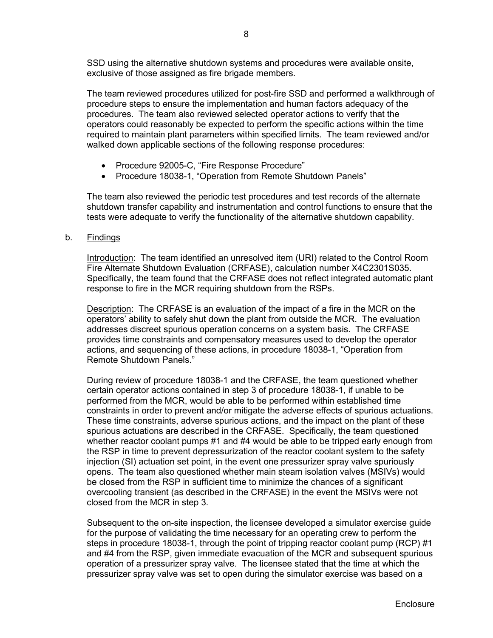SSD using the alternative shutdown systems and procedures were available onsite, exclusive of those assigned as fire brigade members.

The team reviewed procedures utilized for post-fire SSD and performed a walkthrough of procedure steps to ensure the implementation and human factors adequacy of the procedures. The team also reviewed selected operator actions to verify that the operators could reasonably be expected to perform the specific actions within the time required to maintain plant parameters within specified limits. The team reviewed and/or walked down applicable sections of the following response procedures:

- Procedure 92005-C, "Fire Response Procedure"
- Procedure 18038-1, "Operation from Remote Shutdown Panels"

The team also reviewed the periodic test procedures and test records of the alternate shutdown transfer capability and instrumentation and control functions to ensure that the tests were adequate to verify the functionality of the alternative shutdown capability.

#### b. Findings

Introduction: The team identified an unresolved item (URI) related to the Control Room Fire Alternate Shutdown Evaluation (CRFASE), calculation number X4C2301S035. Specifically, the team found that the CRFASE does not reflect integrated automatic plant response to fire in the MCR requiring shutdown from the RSPs.

Description: The CRFASE is an evaluation of the impact of a fire in the MCR on the operators' ability to safely shut down the plant from outside the MCR. The evaluation addresses discreet spurious operation concerns on a system basis. The CRFASE provides time constraints and compensatory measures used to develop the operator actions, and sequencing of these actions, in procedure 18038-1, "Operation from Remote Shutdown Panels."

During review of procedure 18038-1 and the CRFASE, the team questioned whether certain operator actions contained in step 3 of procedure 18038-1, if unable to be performed from the MCR, would be able to be performed within established time constraints in order to prevent and/or mitigate the adverse effects of spurious actuations. These time constraints, adverse spurious actions, and the impact on the plant of these spurious actuations are described in the CRFASE. Specifically, the team questioned whether reactor coolant pumps #1 and #4 would be able to be tripped early enough from the RSP in time to prevent depressurization of the reactor coolant system to the safety injection (SI) actuation set point, in the event one pressurizer spray valve spuriously opens. The team also questioned whether main steam isolation valves (MSIVs) would be closed from the RSP in sufficient time to minimize the chances of a significant overcooling transient (as described in the CRFASE) in the event the MSIVs were not closed from the MCR in step 3.

Subsequent to the on-site inspection, the licensee developed a simulator exercise guide for the purpose of validating the time necessary for an operating crew to perform the steps in procedure 18038-1, through the point of tripping reactor coolant pump (RCP) #1 and #4 from the RSP, given immediate evacuation of the MCR and subsequent spurious operation of a pressurizer spray valve. The licensee stated that the time at which the pressurizer spray valve was set to open during the simulator exercise was based on a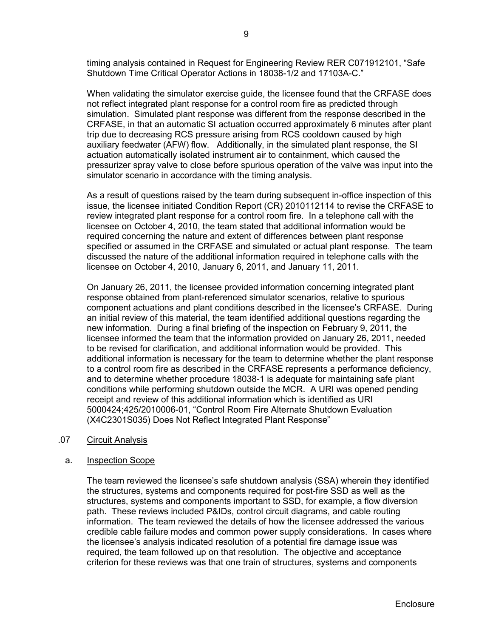timing analysis contained in Request for Engineering Review RER C071912101, "Safe Shutdown Time Critical Operator Actions in 18038-1/2 and 17103A-C."

When validating the simulator exercise guide, the licensee found that the CRFASE does not reflect integrated plant response for a control room fire as predicted through simulation. Simulated plant response was different from the response described in the CRFASE, in that an automatic SI actuation occurred approximately 6 minutes after plant trip due to decreasing RCS pressure arising from RCS cooldown caused by high auxiliary feedwater (AFW) flow. Additionally, in the simulated plant response, the SI actuation automatically isolated instrument air to containment, which caused the pressurizer spray valve to close before spurious operation of the valve was input into the simulator scenario in accordance with the timing analysis.

As a result of questions raised by the team during subsequent in-office inspection of this issue, the licensee initiated Condition Report (CR) 2010112114 to revise the CRFASE to review integrated plant response for a control room fire. In a telephone call with the licensee on October 4, 2010, the team stated that additional information would be required concerning the nature and extent of differences between plant response specified or assumed in the CRFASE and simulated or actual plant response. The team discussed the nature of the additional information required in telephone calls with the licensee on October 4, 2010, January 6, 2011, and January 11, 2011.

On January 26, 2011, the licensee provided information concerning integrated plant response obtained from plant-referenced simulator scenarios, relative to spurious component actuations and plant conditions described in the licensee's CRFASE. During an initial review of this material, the team identified additional questions regarding the new information. During a final briefing of the inspection on February 9, 2011, the licensee informed the team that the information provided on January 26, 2011, needed to be revised for clarification, and additional information would be provided. This additional information is necessary for the team to determine whether the plant response to a control room fire as described in the CRFASE represents a performance deficiency, and to determine whether procedure 18038-1 is adequate for maintaining safe plant conditions while performing shutdown outside the MCR. A URI was opened pending receipt and review of this additional information which is identified as URI 5000424;425/2010006-01, "Control Room Fire Alternate Shutdown Evaluation (X4C2301S035) Does Not Reflect Integrated Plant Response"

#### .07 Circuit Analysis

#### a. Inspection Scope

The team reviewed the licensee's safe shutdown analysis (SSA) wherein they identified the structures, systems and components required for post-fire SSD as well as the structures, systems and components important to SSD, for example, a flow diversion path. These reviews included P&IDs, control circuit diagrams, and cable routing information. The team reviewed the details of how the licensee addressed the various credible cable failure modes and common power supply considerations. In cases where the licensee's analysis indicated resolution of a potential fire damage issue was required, the team followed up on that resolution. The objective and acceptance criterion for these reviews was that one train of structures, systems and components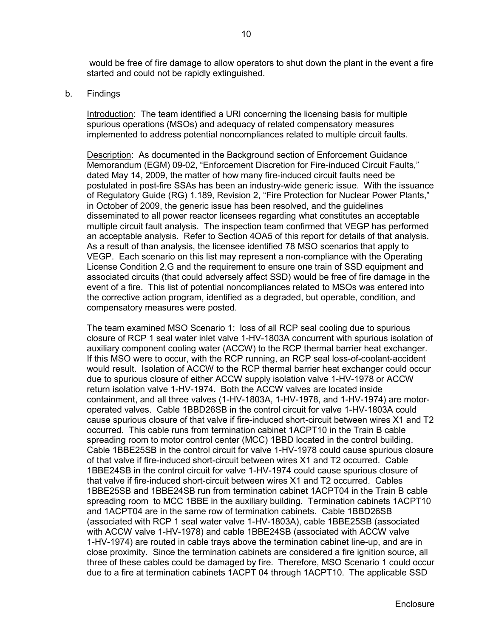would be free of fire damage to allow operators to shut down the plant in the event a fire started and could not be rapidly extinguished.

#### b. Findings

Introduction: The team identified a URI concerning the licensing basis for multiple spurious operations (MSOs) and adequacy of related compensatory measures implemented to address potential noncompliances related to multiple circuit faults.

Description: As documented in the Background section of Enforcement Guidance Memorandum (EGM) 09-02, "Enforcement Discretion for Fire-induced Circuit Faults," dated May 14, 2009, the matter of how many fire-induced circuit faults need be postulated in post-fire SSAs has been an industry-wide generic issue. With the issuance of Regulatory Guide (RG) 1.189, Revision 2, "Fire Protection for Nuclear Power Plants," in October of 2009, the generic issue has been resolved, and the guidelines disseminated to all power reactor licensees regarding what constitutes an acceptable multiple circuit fault analysis. The inspection team confirmed that VEGP has performed an acceptable analysis. Refer to Section 4OA5 of this report for details of that analysis. As a result of than analysis, the licensee identified 78 MSO scenarios that apply to VEGP. Each scenario on this list may represent a non-compliance with the Operating License Condition 2.G and the requirement to ensure one train of SSD equipment and associated circuits (that could adversely affect SSD) would be free of fire damage in the event of a fire. This list of potential noncompliances related to MSOs was entered into the corrective action program, identified as a degraded, but operable, condition, and compensatory measures were posted.

The team examined MSO Scenario 1: loss of all RCP seal cooling due to spurious closure of RCP 1 seal water inlet valve 1-HV-1803A concurrent with spurious isolation of auxiliary component cooling water (ACCW) to the RCP thermal barrier heat exchanger. If this MSO were to occur, with the RCP running, an RCP seal loss-of-coolant-accident would result. Isolation of ACCW to the RCP thermal barrier heat exchanger could occur due to spurious closure of either ACCW supply isolation valve 1-HV-1978 or ACCW return isolation valve 1-HV-1974. Both the ACCW valves are located inside containment, and all three valves (1-HV-1803A, 1-HV-1978, and 1-HV-1974) are motoroperated valves. Cable 1BBD26SB in the control circuit for valve 1-HV-1803A could cause spurious closure of that valve if fire-induced short-circuit between wires X1 and T2 occurred. This cable runs from termination cabinet 1ACPT10 in the Train B cable spreading room to motor control center (MCC) 1BBD located in the control building. Cable 1BBE25SB in the control circuit for valve 1-HV-1978 could cause spurious closure of that valve if fire-induced short-circuit between wires X1 and T2 occurred. Cable 1BBE24SB in the control circuit for valve 1-HV-1974 could cause spurious closure of that valve if fire-induced short-circuit between wires X1 and T2 occurred. Cables 1BBE25SB and 1BBE24SB run from termination cabinet 1ACPT04 in the Train B cable spreading room to MCC 1BBE in the auxiliary building. Termination cabinets 1ACPT10 and 1ACPT04 are in the same row of termination cabinets. Cable 1BBD26SB (associated with RCP 1 seal water valve 1-HV-1803A), cable 1BBE25SB (associated with ACCW valve 1-HV-1978) and cable 1BBE24SB (associated with ACCW valve 1-HV-1974) are routed in cable trays above the termination cabinet line-up, and are in close proximity. Since the termination cabinets are considered a fire ignition source, all three of these cables could be damaged by fire. Therefore, MSO Scenario 1 could occur due to a fire at termination cabinets 1ACPT 04 through 1ACPT10. The applicable SSD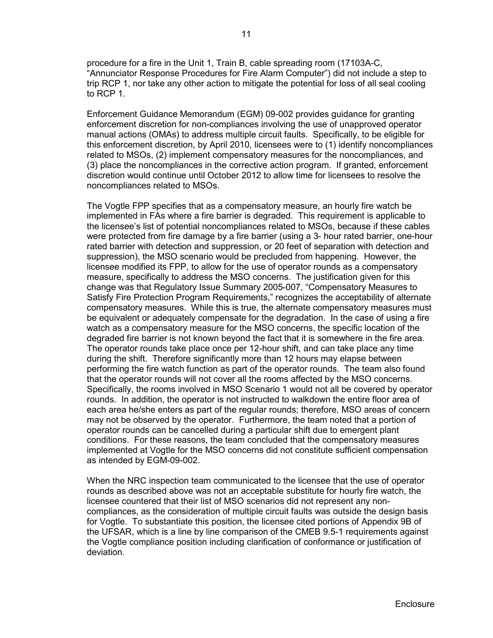procedure for a fire in the Unit 1, Train B, cable spreading room (17103A-C, "Annunciator Response Procedures for Fire Alarm Computer") did not include a step to trip RCP 1, nor take any other action to mitigate the potential for loss of all seal cooling to RCP 1.

Enforcement Guidance Memorandum (EGM) 09-002 provides guidance for granting enforcement discretion for non-compliances involving the use of unapproved operator manual actions (OMAs) to address multiple circuit faults. Specifically, to be eligible for this enforcement discretion, by April 2010, licensees were to (1) identify noncompliances related to MSOs, (2) implement compensatory measures for the noncompliances, and (3) place the noncompliances in the corrective action program. If granted, enforcement discretion would continue until October 2012 to allow time for licensees to resolve the noncompliances related to MSOs.

The Vogtle FPP specifies that as a compensatory measure, an hourly fire watch be implemented in FAs where a fire barrier is degraded. This requirement is applicable to the licensee's list of potential noncompliances related to MSOs, because if these cables were protected from fire damage by a fire barrier (using a 3- hour rated barrier, one-hour rated barrier with detection and suppression, or 20 feet of separation with detection and suppression), the MSO scenario would be precluded from happening. However, the licensee modified its FPP, to allow for the use of operator rounds as a compensatory measure, specifically to address the MSO concerns. The justification given for this change was that Regulatory Issue Summary 2005-007, "Compensatory Measures to Satisfy Fire Protection Program Requirements," recognizes the acceptability of alternate compensatory measures. While this is true, the alternate compensatory measures must be equivalent or adequately compensate for the degradation. In the case of using a fire watch as a compensatory measure for the MSO concerns, the specific location of the degraded fire barrier is not known beyond the fact that it is somewhere in the fire area. The operator rounds take place once per 12-hour shift, and can take place any time during the shift. Therefore significantly more than 12 hours may elapse between performing the fire watch function as part of the operator rounds. The team also found that the operator rounds will not cover all the rooms affected by the MSO concerns. Specifically, the rooms involved in MSO Scenario 1 would not all be covered by operator rounds. In addition, the operator is not instructed to walkdown the entire floor area of each area he/she enters as part of the regular rounds; therefore, MSO areas of concern may not be observed by the operator. Furthermore, the team noted that a portion of operator rounds can be cancelled during a particular shift due to emergent plant conditions. For these reasons, the team concluded that the compensatory measures implemented at Vogtle for the MSO concerns did not constitute sufficient compensation as intended by EGM-09-002.

When the NRC inspection team communicated to the licensee that the use of operator rounds as described above was not an acceptable substitute for hourly fire watch, the licensee countered that their list of MSO scenarios did not represent any noncompliances, as the consideration of multiple circuit faults was outside the design basis for Vogtle. To substantiate this position, the licensee cited portions of Appendix 9B of the UFSAR, which is a line by line comparison of the CMEB 9.5-1 requirements against the Vogtle compliance position including clarification of conformance or justification of deviation.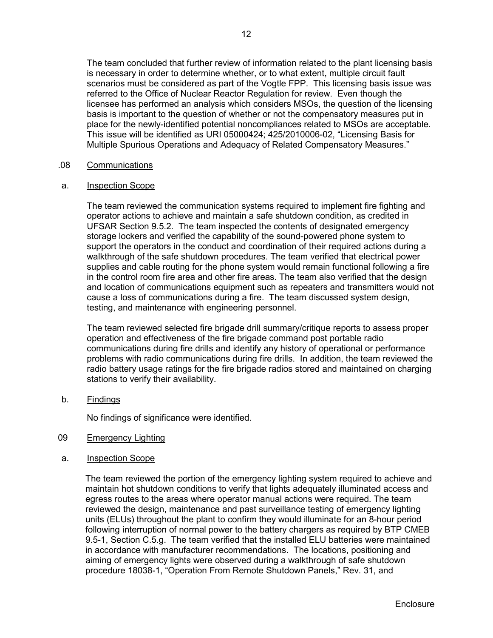The team concluded that further review of information related to the plant licensing basis is necessary in order to determine whether, or to what extent, multiple circuit fault scenarios must be considered as part of the Vogtle FPP. This licensing basis issue was referred to the Office of Nuclear Reactor Regulation for review. Even though the licensee has performed an analysis which considers MSOs, the question of the licensing basis is important to the question of whether or not the compensatory measures put in place for the newly-identified potential noncompliances related to MSOs are acceptable. This issue will be identified as URI 05000424; 425/2010006-02, "Licensing Basis for Multiple Spurious Operations and Adequacy of Related Compensatory Measures."

# .08 Communications

#### a. Inspection Scope

The team reviewed the communication systems required to implement fire fighting and operator actions to achieve and maintain a safe shutdown condition, as credited in UFSAR Section 9.5.2. The team inspected the contents of designated emergency storage lockers and verified the capability of the sound-powered phone system to support the operators in the conduct and coordination of their required actions during a walkthrough of the safe shutdown procedures. The team verified that electrical power supplies and cable routing for the phone system would remain functional following a fire in the control room fire area and other fire areas. The team also verified that the design and location of communications equipment such as repeaters and transmitters would not cause a loss of communications during a fire. The team discussed system design, testing, and maintenance with engineering personnel.

The team reviewed selected fire brigade drill summary/critique reports to assess proper operation and effectiveness of the fire brigade command post portable radio communications during fire drills and identify any history of operational or performance problems with radio communications during fire drills. In addition, the team reviewed the radio battery usage ratings for the fire brigade radios stored and maintained on charging stations to verify their availability.

b. Findings

No findings of significance were identified.

- 09 Emergency Lighting
- a. Inspection Scope

The team reviewed the portion of the emergency lighting system required to achieve and maintain hot shutdown conditions to verify that lights adequately illuminated access and egress routes to the areas where operator manual actions were required. The team reviewed the design, maintenance and past surveillance testing of emergency lighting units (ELUs) throughout the plant to confirm they would illuminate for an 8-hour period following interruption of normal power to the battery chargers as required by BTP CMEB 9.5-1, Section C.5.g. The team verified that the installed ELU batteries were maintained in accordance with manufacturer recommendations. The locations, positioning and aiming of emergency lights were observed during a walkthrough of safe shutdown procedure 18038-1, "Operation From Remote Shutdown Panels," Rev. 31, and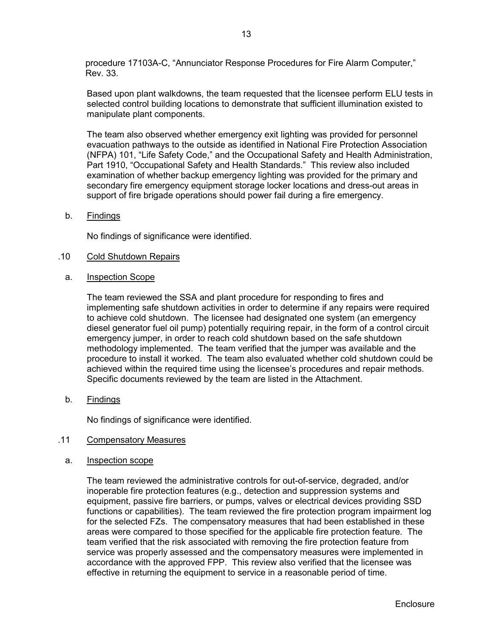procedure 17103A-C, "Annunciator Response Procedures for Fire Alarm Computer," Rev. 33.

Based upon plant walkdowns, the team requested that the licensee perform ELU tests in selected control building locations to demonstrate that sufficient illumination existed to manipulate plant components.

The team also observed whether emergency exit lighting was provided for personnel evacuation pathways to the outside as identified in National Fire Protection Association (NFPA) 101, "Life Safety Code," and the Occupational Safety and Health Administration, Part 1910, "Occupational Safety and Health Standards." This review also included examination of whether backup emergency lighting was provided for the primary and secondary fire emergency equipment storage locker locations and dress-out areas in support of fire brigade operations should power fail during a fire emergency.

b. Findings

No findings of significance were identified.

#### .10 Cold Shutdown Repairs

a. Inspection Scope

The team reviewed the SSA and plant procedure for responding to fires and implementing safe shutdown activities in order to determine if any repairs were required to achieve cold shutdown. The licensee had designated one system (an emergency diesel generator fuel oil pump) potentially requiring repair, in the form of a control circuit emergency jumper, in order to reach cold shutdown based on the safe shutdown methodology implemented. The team verified that the jumper was available and the procedure to install it worked. The team also evaluated whether cold shutdown could be achieved within the required time using the licensee's procedures and repair methods. Specific documents reviewed by the team are listed in the Attachment.

b. Findings

No findings of significance were identified.

#### .11 Compensatory Measures

a. Inspection scope

The team reviewed the administrative controls for out-of-service, degraded, and/or inoperable fire protection features (e.g., detection and suppression systems and equipment, passive fire barriers, or pumps, valves or electrical devices providing SSD functions or capabilities). The team reviewed the fire protection program impairment log for the selected FZs. The compensatory measures that had been established in these areas were compared to those specified for the applicable fire protection feature. The team verified that the risk associated with removing the fire protection feature from service was properly assessed and the compensatory measures were implemented in accordance with the approved FPP. This review also verified that the licensee was effective in returning the equipment to service in a reasonable period of time.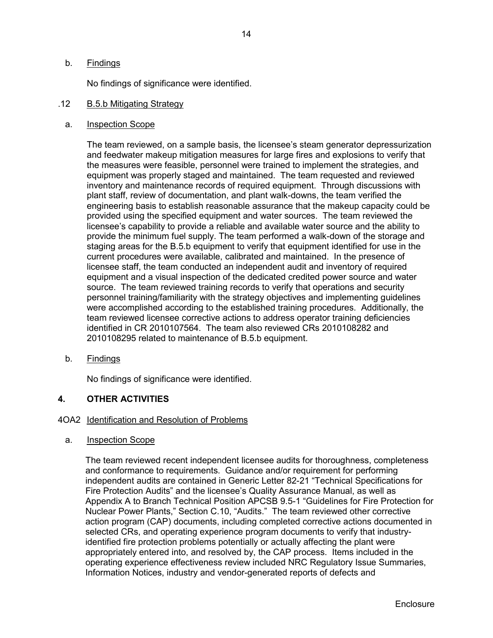# b. Findings

No findings of significance were identified.

#### .12 B.5.b Mitigating Strategy

#### a. Inspection Scope

The team reviewed, on a sample basis, the licensee's steam generator depressurization and feedwater makeup mitigation measures for large fires and explosions to verify that the measures were feasible, personnel were trained to implement the strategies, and equipment was properly staged and maintained. The team requested and reviewed inventory and maintenance records of required equipment. Through discussions with plant staff, review of documentation, and plant walk-downs, the team verified the engineering basis to establish reasonable assurance that the makeup capacity could be provided using the specified equipment and water sources. The team reviewed the licensee's capability to provide a reliable and available water source and the ability to provide the minimum fuel supply. The team performed a walk-down of the storage and staging areas for the B.5.b equipment to verify that equipment identified for use in the current procedures were available, calibrated and maintained. In the presence of licensee staff, the team conducted an independent audit and inventory of required equipment and a visual inspection of the dedicated credited power source and water source. The team reviewed training records to verify that operations and security personnel training/familiarity with the strategy objectives and implementing guidelines were accomplished according to the established training procedures. Additionally, the team reviewed licensee corrective actions to address operator training deficiencies identified in CR 2010107564. The team also reviewed CRs 2010108282 and 2010108295 related to maintenance of B.5.b equipment.

# b. Findings

No findings of significance were identified.

# **4. OTHER ACTIVITIES**

# 4OA2 Identification and Resolution of Problems

#### a. Inspection Scope

The team reviewed recent independent licensee audits for thoroughness, completeness and conformance to requirements. Guidance and/or requirement for performing independent audits are contained in Generic Letter 82-21 "Technical Specifications for Fire Protection Audits" and the licensee's Quality Assurance Manual, as well as Appendix A to Branch Technical Position APCSB 9.5-1 "Guidelines for Fire Protection for Nuclear Power Plants," Section C.10, "Audits." The team reviewed other corrective action program (CAP) documents, including completed corrective actions documented in selected CRs, and operating experience program documents to verify that industryidentified fire protection problems potentially or actually affecting the plant were appropriately entered into, and resolved by, the CAP process. Items included in the operating experience effectiveness review included NRC Regulatory Issue Summaries, Information Notices, industry and vendor-generated reports of defects and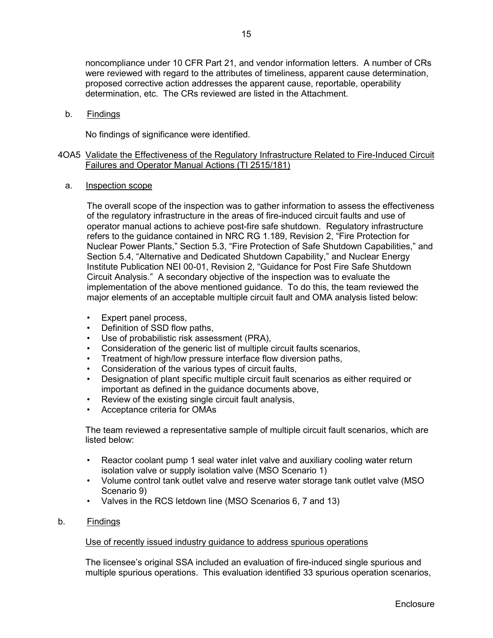noncompliance under 10 CFR Part 21, and vendor information letters. A number of CRs were reviewed with regard to the attributes of timeliness, apparent cause determination, proposed corrective action addresses the apparent cause, reportable, operability determination, etc. The CRs reviewed are listed in the Attachment.

#### b. Findings

No findings of significance were identified.

# 4OA5 Validate the Effectiveness of the Regulatory Infrastructure Related to Fire-Induced Circuit Failures and Operator Manual Actions (TI 2515/181)

a. Inspection scope

The overall scope of the inspection was to gather information to assess the effectiveness of the regulatory infrastructure in the areas of fire-induced circuit faults and use of operator manual actions to achieve post-fire safe shutdown. Regulatory infrastructure refers to the guidance contained in NRC RG 1.189, Revision 2, "Fire Protection for Nuclear Power Plants," Section 5.3, "Fire Protection of Safe Shutdown Capabilities," and Section 5.4, "Alternative and Dedicated Shutdown Capability," and Nuclear Energy Institute Publication NEI 00-01, Revision 2, "Guidance for Post Fire Safe Shutdown Circuit Analysis." A secondary objective of the inspection was to evaluate the implementation of the above mentioned guidance. To do this, the team reviewed the major elements of an acceptable multiple circuit fault and OMA analysis listed below:

- Expert panel process,
- Definition of SSD flow paths,
- Use of probabilistic risk assessment (PRA),
- Consideration of the generic list of multiple circuit faults scenarios,
- Treatment of high/low pressure interface flow diversion paths,
- Consideration of the various types of circuit faults,
- Designation of plant specific multiple circuit fault scenarios as either required or important as defined in the guidance documents above,
- Review of the existing single circuit fault analysis,
- Acceptance criteria for OMAs

The team reviewed a representative sample of multiple circuit fault scenarios, which are listed below:

- Reactor coolant pump 1 seal water inlet valve and auxiliary cooling water return isolation valve or supply isolation valve (MSO Scenario 1)
- Volume control tank outlet valve and reserve water storage tank outlet valve (MSO Scenario 9)
- Valves in the RCS letdown line (MSO Scenarios 6, 7 and 13)
- b. Findings

#### Use of recently issued industry guidance to address spurious operations

The licensee's original SSA included an evaluation of fire-induced single spurious and multiple spurious operations. This evaluation identified 33 spurious operation scenarios,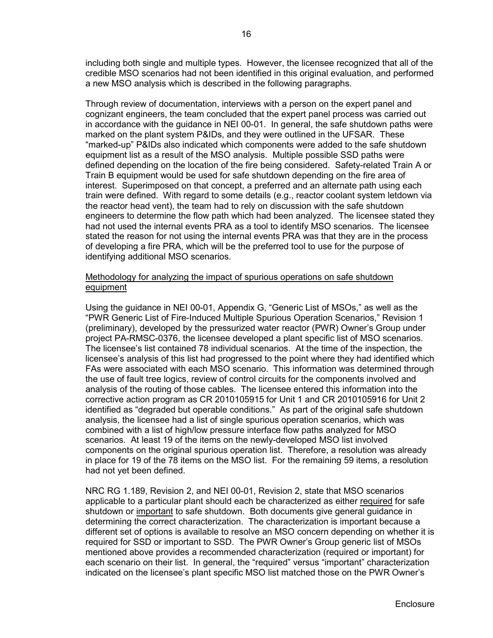including both single and multiple types. However, the licensee recognized that all of the credible MSO scenarios had not been identified in this original evaluation, and performed a new MSO analysis which is described in the following paragraphs.

Through review of documentation, interviews with a person on the expert panel and cognizant engineers, the team concluded that the expert panel process was carried out in accordance with the guidance in NEI 00-01. In general, the safe shutdown paths were marked on the plant system P&IDs, and they were outlined in the UFSAR. These "marked-up" P&IDs also indicated which components were added to the safe shutdown equipment list as a result of the MSO analysis. Multiple possible SSD paths were defined depending on the location of the fire being considered. Safety-related Train A or Train B equipment would be used for safe shutdown depending on the fire area of interest. Superimposed on that concept, a preferred and an alternate path using each train were defined. With regard to some details (e.g., reactor coolant system letdown via the reactor head vent), the team had to rely on discussion with the safe shutdown engineers to determine the flow path which had been analyzed. The licensee stated they had not used the internal events PRA as a tool to identify MSO scenarios. The licensee stated the reason for not using the internal events PRA was that they are in the process of developing a fire PRA, which will be the preferred tool to use for the purpose of identifying additional MSO scenarios.

# Methodology for analyzing the impact of spurious operations on safe shutdown equipment

Using the guidance in NEI 00-01, Appendix G, "Generic List of MSOs," as well as the "PWR Generic List of Fire-Induced Multiple Spurious Operation Scenarios," Revision 1 (preliminary), developed by the pressurized water reactor (PWR) Owner's Group under project PA-RMSC-0376, the licensee developed a plant specific list of MSO scenarios. The licensee's list contained 78 individual scenarios. At the time of the inspection, the licensee's analysis of this list had progressed to the point where they had identified which FAs were associated with each MSO scenario. This information was determined through the use of fault tree logics, review of control circuits for the components involved and analysis of the routing of those cables. The licensee entered this information into the corrective action program as CR 2010105915 for Unit 1 and CR 2010105916 for Unit 2 identified as "degraded but operable conditions." As part of the original safe shutdown analysis, the licensee had a list of single spurious operation scenarios, which was combined with a list of high/low pressure interface flow paths analyzed for MSO scenarios. At least 19 of the items on the newly-developed MSO list involved components on the original spurious operation list. Therefore, a resolution was already in place for 19 of the 78 items on the MSO list. For the remaining 59 items, a resolution had not yet been defined.

NRC RG 1.189, Revision 2, and NEI 00-01, Revision 2, state that MSO scenarios applicable to a particular plant should each be characterized as either required for safe shutdown or important to safe shutdown. Both documents give general guidance in determining the correct characterization. The characterization is important because a different set of options is available to resolve an MSO concern depending on whether it is required for SSD or important to SSD. The PWR Owner's Group generic list of MSOs mentioned above provides a recommended characterization (required or important) for each scenario on their list. In general, the "required" versus "important" characterization indicated on the licensee's plant specific MSO list matched those on the PWR Owner's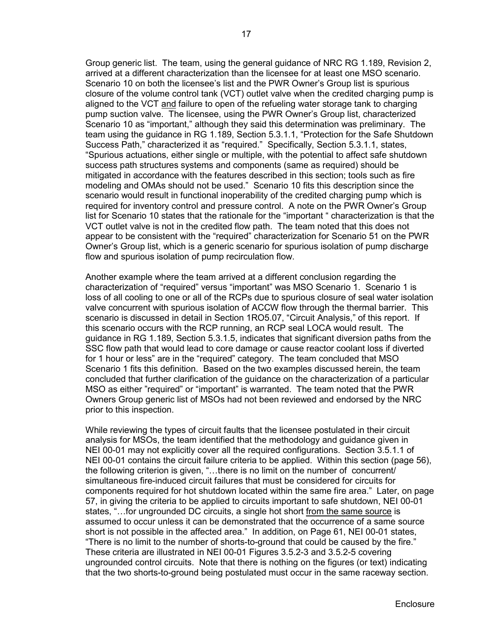Group generic list. The team, using the general guidance of NRC RG 1.189, Revision 2, arrived at a different characterization than the licensee for at least one MSO scenario. Scenario 10 on both the licensee's list and the PWR Owner's Group list is spurious closure of the volume control tank (VCT) outlet valve when the credited charging pump is aligned to the VCT and failure to open of the refueling water storage tank to charging pump suction valve. The licensee, using the PWR Owner's Group list, characterized Scenario 10 as "important," although they said this determination was preliminary. The team using the guidance in RG 1.189, Section 5.3.1.1, "Protection for the Safe Shutdown Success Path," characterized it as "required." Specifically, Section 5.3.1.1, states, "Spurious actuations, either single or multiple, with the potential to affect safe shutdown success path structures systems and components (same as required) should be mitigated in accordance with the features described in this section; tools such as fire modeling and OMAs should not be used." Scenario 10 fits this description since the scenario would result in functional inoperability of the credited charging pump which is required for inventory control and pressure control. A note on the PWR Owner's Group list for Scenario 10 states that the rationale for the "important " characterization is that the VCT outlet valve is not in the credited flow path. The team noted that this does not appear to be consistent with the "required" characterization for Scenario 51 on the PWR Owner's Group list, which is a generic scenario for spurious isolation of pump discharge flow and spurious isolation of pump recirculation flow.

Another example where the team arrived at a different conclusion regarding the characterization of "required" versus "important" was MSO Scenario 1. Scenario 1 is loss of all cooling to one or all of the RCPs due to spurious closure of seal water isolation valve concurrent with spurious isolation of ACCW flow through the thermal barrier. This scenario is discussed in detail in Section 1RO5.07, "Circuit Analysis," of this report. If this scenario occurs with the RCP running, an RCP seal LOCA would result. The guidance in RG 1.189, Section 5.3.1.5, indicates that significant diversion paths from the SSC flow path that would lead to core damage or cause reactor coolant loss if diverted for 1 hour or less" are in the "required" category. The team concluded that MSO Scenario 1 fits this definition. Based on the two examples discussed herein, the team concluded that further clarification of the guidance on the characterization of a particular MSO as either "required" or "important" is warranted. The team noted that the PWR Owners Group generic list of MSOs had not been reviewed and endorsed by the NRC prior to this inspection.

While reviewing the types of circuit faults that the licensee postulated in their circuit analysis for MSOs, the team identified that the methodology and guidance given in NEI 00-01 may not explicitly cover all the required configurations. Section 3.5.1.1 of NEI 00-01 contains the circuit failure criteria to be applied. Within this section (page 56), the following criterion is given, "…there is no limit on the number of concurrent/ simultaneous fire-induced circuit failures that must be considered for circuits for components required for hot shutdown located within the same fire area." Later, on page 57, in giving the criteria to be applied to circuits important to safe shutdown, NEI 00-01 states, "…for ungrounded DC circuits, a single hot short from the same source is assumed to occur unless it can be demonstrated that the occurrence of a same source short is not possible in the affected area." In addition, on Page 61, NEI 00-01 states, "There is no limit to the number of shorts-to-ground that could be caused by the fire." These criteria are illustrated in NEI 00-01 Figures 3.5.2-3 and 3.5.2-5 covering ungrounded control circuits. Note that there is nothing on the figures (or text) indicating that the two shorts-to-ground being postulated must occur in the same raceway section.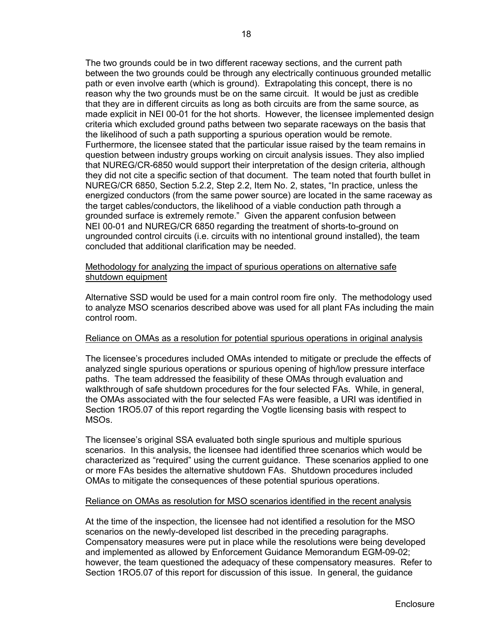The two grounds could be in two different raceway sections, and the current path between the two grounds could be through any electrically continuous grounded metallic path or even involve earth (which is ground). Extrapolating this concept, there is no reason why the two grounds must be on the same circuit. It would be just as credible that they are in different circuits as long as both circuits are from the same source, as made explicit in NEI 00-01 for the hot shorts. However, the licensee implemented design criteria which excluded ground paths between two separate raceways on the basis that the likelihood of such a path supporting a spurious operation would be remote. Furthermore, the licensee stated that the particular issue raised by the team remains in question between industry groups working on circuit analysis issues. They also implied that NUREG/CR-6850 would support their interpretation of the design criteria, although they did not cite a specific section of that document. The team noted that fourth bullet in NUREG/CR 6850, Section 5.2.2, Step 2.2, Item No. 2, states, "In practice, unless the energized conductors (from the same power source) are located in the same raceway as the target cables/conductors, the likelihood of a viable conduction path through a grounded surface is extremely remote." Given the apparent confusion between NEI 00-01 and NUREG/CR 6850 regarding the treatment of shorts-to-ground on ungrounded control circuits (i.e. circuits with no intentional ground installed), the team concluded that additional clarification may be needed.

# Methodology for analyzing the impact of spurious operations on alternative safe shutdown equipment

Alternative SSD would be used for a main control room fire only. The methodology used to analyze MSO scenarios described above was used for all plant FAs including the main control room.

# Reliance on OMAs as a resolution for potential spurious operations in original analysis

The licensee's procedures included OMAs intended to mitigate or preclude the effects of analyzed single spurious operations or spurious opening of high/low pressure interface paths. The team addressed the feasibility of these OMAs through evaluation and walkthrough of safe shutdown procedures for the four selected FAs. While, in general, the OMAs associated with the four selected FAs were feasible, a URI was identified in Section 1RO5.07 of this report regarding the Vogtle licensing basis with respect to MSOs.

The licensee's original SSA evaluated both single spurious and multiple spurious scenarios. In this analysis, the licensee had identified three scenarios which would be characterized as "required" using the current guidance. These scenarios applied to one or more FAs besides the alternative shutdown FAs. Shutdown procedures included OMAs to mitigate the consequences of these potential spurious operations.

# Reliance on OMAs as resolution for MSO scenarios identified in the recent analysis

At the time of the inspection, the licensee had not identified a resolution for the MSO scenarios on the newly-developed list described in the preceding paragraphs. Compensatory measures were put in place while the resolutions were being developed and implemented as allowed by Enforcement Guidance Memorandum EGM-09-02; however, the team questioned the adequacy of these compensatory measures. Refer to Section 1RO5.07 of this report for discussion of this issue. In general, the guidance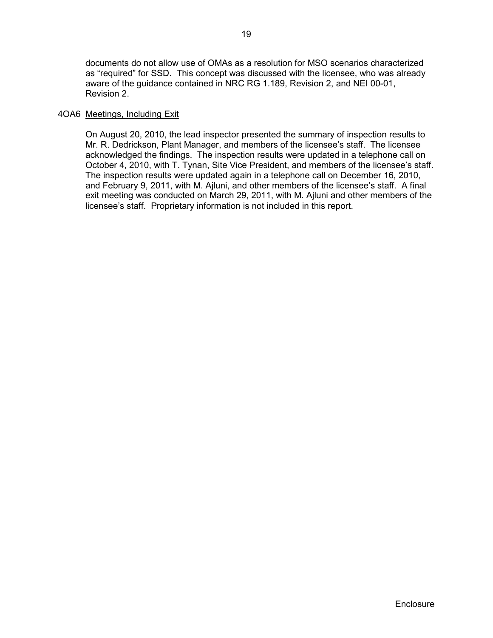documents do not allow use of OMAs as a resolution for MSO scenarios characterized as "required" for SSD. This concept was discussed with the licensee, who was already aware of the guidance contained in NRC RG 1.189, Revision 2, and NEI 00-01, Revision 2.

# 4OA6 Meetings, Including Exit

On August 20, 2010, the lead inspector presented the summary of inspection results to Mr. R. Dedrickson, Plant Manager, and members of the licensee's staff. The licensee acknowledged the findings. The inspection results were updated in a telephone call on October 4, 2010, with T. Tynan, Site Vice President, and members of the licensee's staff. The inspection results were updated again in a telephone call on December 16, 2010, and February 9, 2011, with M. Ajluni, and other members of the licensee's staff. A final exit meeting was conducted on March 29, 2011, with M. Ajluni and other members of the licensee's staff. Proprietary information is not included in this report.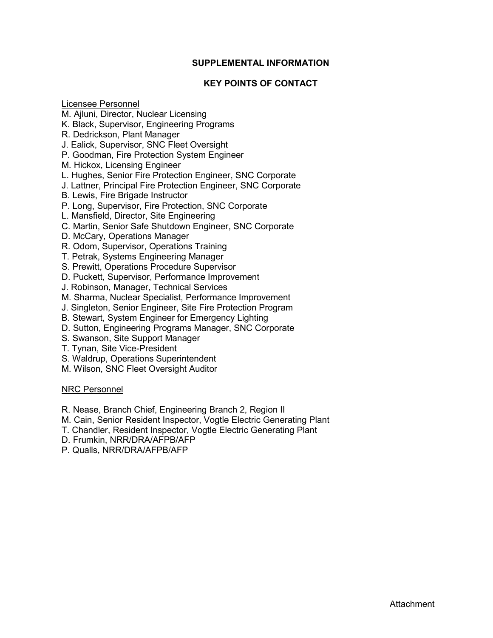# **SUPPLEMENTAL INFORMATION**

# **KEY POINTS OF CONTACT**

Licensee Personnel

- M. Ajluni, Director, Nuclear Licensing
- K. Black, Supervisor, Engineering Programs
- R. Dedrickson, Plant Manager
- J. Ealick, Supervisor, SNC Fleet Oversight
- P. Goodman, Fire Protection System Engineer
- M. Hickox, Licensing Engineer
- L. Hughes, Senior Fire Protection Engineer, SNC Corporate
- J. Lattner, Principal Fire Protection Engineer, SNC Corporate
- B. Lewis, Fire Brigade Instructor
- P. Long, Supervisor, Fire Protection, SNC Corporate
- L. Mansfield, Director, Site Engineering
- C. Martin, Senior Safe Shutdown Engineer, SNC Corporate
- D. McCary, Operations Manager
- R. Odom, Supervisor, Operations Training
- T. Petrak, Systems Engineering Manager
- S. Prewitt, Operations Procedure Supervisor
- D. Puckett, Supervisor, Performance Improvement
- J. Robinson, Manager, Technical Services
- M. Sharma, Nuclear Specialist, Performance Improvement
- J. Singleton, Senior Engineer, Site Fire Protection Program
- B. Stewart, System Engineer for Emergency Lighting
- D. Sutton, Engineering Programs Manager, SNC Corporate
- S. Swanson, Site Support Manager
- T. Tynan, Site Vice-President
- S. Waldrup, Operations Superintendent
- M. Wilson, SNC Fleet Oversight Auditor

# NRC Personnel

- R. Nease, Branch Chief, Engineering Branch 2, Region II
- M. Cain, Senior Resident Inspector, Vogtle Electric Generating Plant
- T. Chandler, Resident Inspector, Vogtle Electric Generating Plant
- D. Frumkin, NRR/DRA/AFPB/AFP
- P. Qualls, NRR/DRA/AFPB/AFP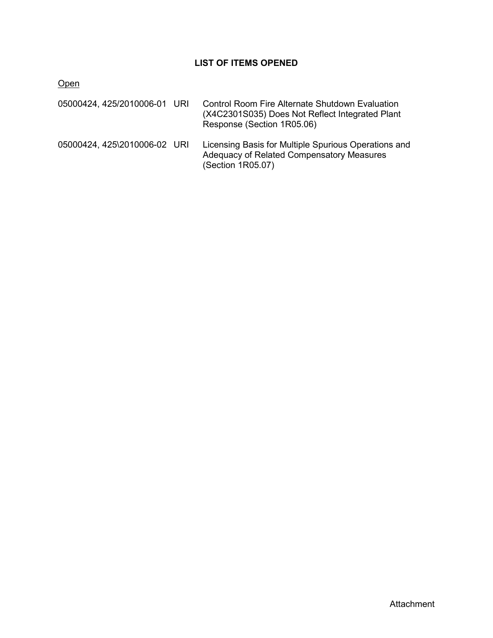# **LIST OF ITEMS OPENED**

**Open** 

| 05000424, 425/2010006-01 URI | Control Room Fire Alternate Shutdown Evaluation<br>(X4C2301S035) Does Not Reflect Integrated Plant<br>Response (Section 1R05.06) |
|------------------------------|----------------------------------------------------------------------------------------------------------------------------------|
| 05000424, 425\2010006-02 URI | Licensing Basis for Multiple Spurious Operations and<br>Adequacy of Related Compensatory Measures<br>(Section 1R05.07)           |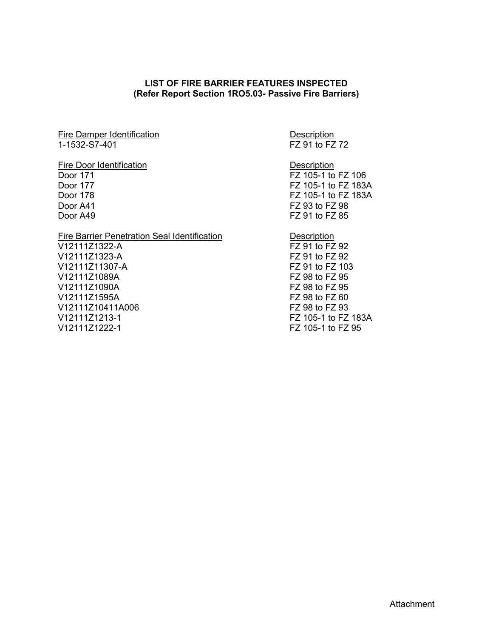# **LIST OF FIRE BARRIER FEATURES INSPECTED (Refer Report Section 1RO5.03- Passive Fire Barriers)**

Fire Damper Identification<br>1-1532-S7-401 <br>FZ 91 to FZ

#### Fire Door Identification **Description**

# Fire Barrier Penetration Seal Identification<br>
V12111Z1322-A<br>
FZ 91 to FZ 92

V12111Z1322-A V12111Z1323-A FZ 91 to FZ 92 V12111Z11307-A FZ 91 to FZ 103 V12111Z1089A FZ 98 to FZ 95 V12111Z1090A FZ 98 to FZ 95 V12111Z1595A V12111Z10411A006 FZ 98 to FZ 93 V12111Z1213-1 FZ 105-1 to FZ 183A V12111Z1222-1 FZ 105-1 to FZ 95

 $\overline{FZ}$  91 to  $\overline{FZ}$  72

Door 171 **FZ 105-1 to FZ 106** Door 177 FZ 105-1 to FZ 183A Door 178 FZ 105-1 to FZ 183A Door A41 FZ 93 to FZ 98 Door A49 FZ 91 to FZ 85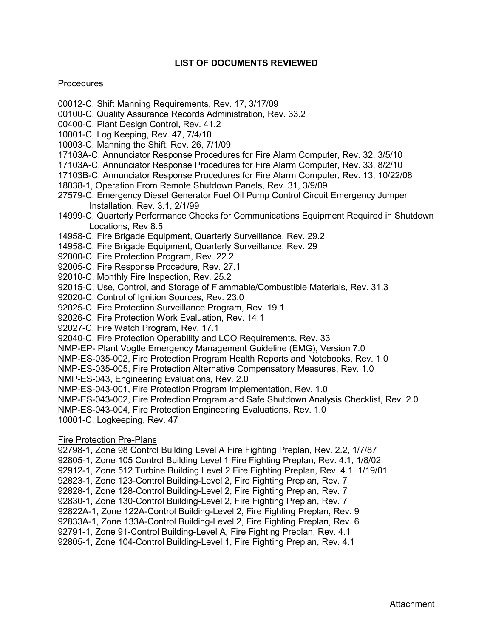# **LIST OF DOCUMENTS REVIEWED**

#### **Procedures**

- 00012-C, Shift Manning Requirements, Rev. 17, 3/17/09
- 00100-C, Quality Assurance Records Administration, Rev. 33.2
- 00400-C, Plant Design Control, Rev. 41.2
- 10001-C, Log Keeping, Rev. 47, 7/4/10
- 10003-C, Manning the Shift, Rev. 26, 7/1/09
- 17103A-C, Annunciator Response Procedures for Fire Alarm Computer, Rev. 32, 3/5/10
- 17103A-C, Annunciator Response Procedures for Fire Alarm Computer, Rev. 33, 8/2/10
- 17103B-C, Annunciator Response Procedures for Fire Alarm Computer, Rev. 13, 10/22/08
- 18038-1, Operation From Remote Shutdown Panels, Rev. 31, 3/9/09
- 27579-C, Emergency Diesel Generator Fuel Oil Pump Control Circuit Emergency Jumper Installation, Rev. 3.1, 2/1/99
- 14999-C, Quarterly Performance Checks for Communications Equipment Required in Shutdown Locations, Rev 8.5
- 14958-C, Fire Brigade Equipment, Quarterly Surveillance, Rev. 29.2
- 14958-C, Fire Brigade Equipment, Quarterly Surveillance, Rev. 29
- 92000-C, Fire Protection Program, Rev. 22.2
- 92005-C, Fire Response Procedure, Rev. 27.1
- 92010-C, Monthly Fire Inspection, Rev. 25.2
- 92015-C, Use, Control, and Storage of Flammable/Combustible Materials, Rev. 31.3
- 92020-C, Control of Ignition Sources, Rev. 23.0
- 92025-C, Fire Protection Surveillance Program, Rev. 19.1
- 92026-C, Fire Protection Work Evaluation, Rev. 14.1
- 92027-C, Fire Watch Program, Rev. 17.1
- 92040-C, Fire Protection Operability and LCO Requirements, Rev. 33
- NMP-EP- Plant Vogtle Emergency Management Guideline (EMG), Version 7.0
- NMP-ES-035-002, Fire Protection Program Health Reports and Notebooks, Rev. 1.0
- NMP-ES-035-005, Fire Protection Alternative Compensatory Measures, Rev. 1.0
- NMP-ES-043, Engineering Evaluations, Rev. 2.0
- NMP-ES-043-001, Fire Protection Program Implementation, Rev. 1.0
- NMP-ES-043-002, Fire Protection Program and Safe Shutdown Analysis Checklist, Rev. 2.0
- NMP-ES-043-004, Fire Protection Engineering Evaluations, Rev. 1.0
- 10001-C, Logkeeping, Rev. 47

# Fire Protection Pre-Plans

- 92798-1, Zone 98 Control Building Level A Fire Fighting Preplan, Rev. 2.2, 1/7/87 92805-1, Zone 105 Control Building Level 1 Fire Fighting Preplan, Rev. 4.1, 1/8/02 92912-1, Zone 512 Turbine Building Level 2 Fire Fighting Preplan, Rev. 4.1, 1/19/01 92823-1, Zone 123-Control Building-Level 2, Fire Fighting Preplan, Rev. 7 92828-1, Zone 128-Control Building-Level 2, Fire Fighting Preplan, Rev. 7
- 
- 92830-1, Zone 130-Control Building-Level 2, Fire Fighting Preplan, Rev. 7
- 92822A-1, Zone 122A-Control Building-Level 2, Fire Fighting Preplan, Rev. 9
- 92833A-1, Zone 133A-Control Building-Level 2, Fire Fighting Preplan, Rev. 6
- 92791-1, Zone 91-Control Building-Level A, Fire Fighting Preplan, Rev. 4.1
- 92805-1, Zone 104-Control Building-Level 1, Fire Fighting Preplan, Rev. 4.1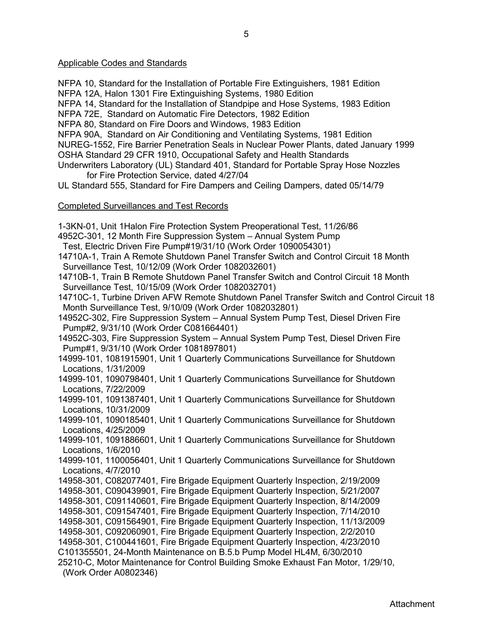#### Applicable Codes and Standards

NFPA 10, Standard for the Installation of Portable Fire Extinguishers, 1981 Edition NFPA 12A, Halon 1301 Fire Extinguishing Systems, 1980 Edition NFPA 14, Standard for the Installation of Standpipe and Hose Systems, 1983 Edition NFPA 72E, Standard on Automatic Fire Detectors, 1982 Edition NFPA 80, Standard on Fire Doors and Windows, 1983 Edition NFPA 90A, Standard on Air Conditioning and Ventilating Systems, 1981 Edition NUREG-1552, Fire Barrier Penetration Seals in Nuclear Power Plants, dated January 1999 OSHA Standard 29 CFR 1910, Occupational Safety and Health Standards Underwriters Laboratory (UL) Standard 401, Standard for Portable Spray Hose Nozzles for Fire Protection Service, dated 4/27/04 UL Standard 555, Standard for Fire Dampers and Ceiling Dampers, dated 05/14/79 Completed Surveillances and Test Records 1-3KN-01, Unit 1Halon Fire Protection System Preoperational Test, 11/26/86 4952C-301, 12 Month Fire Suppression System – Annual System Pump Test, Electric Driven Fire Pump#19/31/10 (Work Order 1090054301) 14710A-1, Train A Remote Shutdown Panel Transfer Switch and Control Circuit 18 Month Surveillance Test, 10/12/09 (Work Order 1082032601) 14710B-1, Train B Remote Shutdown Panel Transfer Switch and Control Circuit 18 Month Surveillance Test, 10/15/09 (Work Order 1082032701) 14710C-1, Turbine Driven AFW Remote Shutdown Panel Transfer Switch and Control Circuit 18 Month Surveillance Test, 9/10/09 (Work Order 1082032801) 14952C-302, Fire Suppression System – Annual System Pump Test, Diesel Driven Fire Pump#2, 9/31/10 (Work Order C081664401) 14952C-303, Fire Suppression System – Annual System Pump Test, Diesel Driven Fire Pump#1, 9/31/10 (Work Order 1081897801) 14999-101, 1081915901, Unit 1 Quarterly Communications Surveillance for Shutdown Locations, 1/31/2009 14999-101, 1090798401, Unit 1 Quarterly Communications Surveillance for Shutdown Locations, 7/22/2009 14999-101, 1091387401, Unit 1 Quarterly Communications Surveillance for Shutdown Locations, 10/31/2009 14999-101, 1090185401, Unit 1 Quarterly Communications Surveillance for Shutdown Locations, 4/25/2009 14999-101, 1091886601, Unit 1 Quarterly Communications Surveillance for Shutdown Locations, 1/6/2010 14999-101, 1100056401, Unit 1 Quarterly Communications Surveillance for Shutdown Locations, 4/7/2010 14958-301, C082077401, Fire Brigade Equipment Quarterly Inspection, 2/19/2009 14958-301, C090439901, Fire Brigade Equipment Quarterly Inspection, 5/21/2007 14958-301, C091140601, Fire Brigade Equipment Quarterly Inspection, 8/14/2009 14958-301, C091547401, Fire Brigade Equipment Quarterly Inspection, 7/14/2010 14958-301, C091564901, Fire Brigade Equipment Quarterly Inspection, 11/13/2009 14958-301, C092060901, Fire Brigade Equipment Quarterly Inspection, 2/2/2010 14958-301, C100441601, Fire Brigade Equipment Quarterly Inspection, 4/23/2010 C101355501, 24-Month Maintenance on B.5.b Pump Model HL4M, 6/30/2010 25210-C, Motor Maintenance for Control Building Smoke Exhaust Fan Motor, 1/29/10, (Work Order A0802346)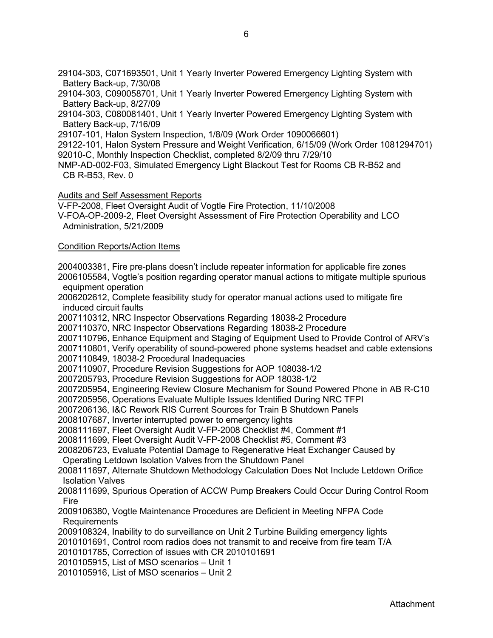29104-303, C071693501, Unit 1 Yearly Inverter Powered Emergency Lighting System with Battery Back-up, 7/30/08

29104-303, C090058701, Unit 1 Yearly Inverter Powered Emergency Lighting System with Battery Back-up, 8/27/09

29104-303, C080081401, Unit 1 Yearly Inverter Powered Emergency Lighting System with Battery Back-up, 7/16/09

29107-101, Halon System Inspection, 1/8/09 (Work Order 1090066601)

29122-101, Halon System Pressure and Weight Verification, 6/15/09 (Work Order 1081294701)

92010-C, Monthly Inspection Checklist, completed 8/2/09 thru 7/29/10

NMP-AD-002-F03, Simulated Emergency Light Blackout Test for Rooms CB R-B52 and CB R-B53, Rev. 0

Audits and Self Assessment Reports

V-FP-2008, Fleet Oversight Audit of Vogtle Fire Protection, 11/10/2008

V-FOA-OP-2009-2, Fleet Oversight Assessment of Fire Protection Operability and LCO Administration, 5/21/2009

#### Condition Reports/Action Items

2004003381, Fire pre-plans doesn't include repeater information for applicable fire zones 2006105584, Vogtle's position regarding operator manual actions to mitigate multiple spurious equipment operation

2006202612, Complete feasibility study for operator manual actions used to mitigate fire induced circuit faults

2007110312, NRC Inspector Observations Regarding 18038-2 Procedure

2007110370, NRC Inspector Observations Regarding 18038-2 Procedure

2007110796, Enhance Equipment and Staging of Equipment Used to Provide Control of ARV's

2007110801, Verify operability of sound-powered phone systems headset and cable extensions

2007110849, 18038-2 Procedural Inadequacies

2007110907, Procedure Revision Suggestions for AOP 108038-1/2

2007205793, Procedure Revision Suggestions for AOP 18038-1/2

2007205954, Engineering Review Closure Mechanism for Sound Powered Phone in AB R-C10

2007205956, Operations Evaluate Multiple Issues Identified During NRC TFPI

2007206136, I&C Rework RIS Current Sources for Train B Shutdown Panels

2008107687, Inverter interrupted power to emergency lights

2008111697, Fleet Oversight Audit V-FP-2008 Checklist #4, Comment #1

2008111699, Fleet Oversight Audit V-FP-2008 Checklist #5, Comment #3

2008206723, Evaluate Potential Damage to Regenerative Heat Exchanger Caused by

Operating Letdown Isolation Valves from the Shutdown Panel

2008111697, Alternate Shutdown Methodology Calculation Does Not Include Letdown Orifice Isolation Valves

2008111699, Spurious Operation of ACCW Pump Breakers Could Occur During Control Room Fire

2009106380, Vogtle Maintenance Procedures are Deficient in Meeting NFPA Code Requirements

2009108324, Inability to do surveillance on Unit 2 Turbine Building emergency lights

2010101691, Control room radios does not transmit to and receive from fire team T/A

2010101785, Correction of issues with CR 2010101691

2010105915, List of MSO scenarios – Unit 1

2010105916, List of MSO scenarios – Unit 2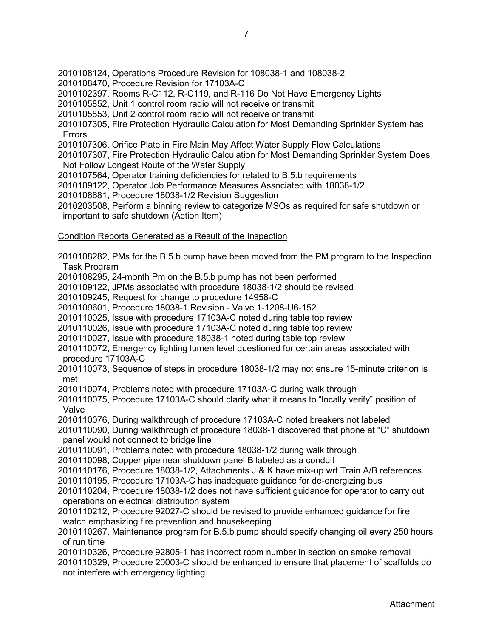- 2010108124, Operations Procedure Revision for 108038-1 and 108038-2
- 2010108470, Procedure Revision for 17103A-C
- 2010102397, Rooms R-C112, R-C119, and R-116 Do Not Have Emergency Lights
- 2010105852, Unit 1 control room radio will not receive or transmit
- 2010105853, Unit 2 control room radio will not receive or transmit
- 2010107305, Fire Protection Hydraulic Calculation for Most Demanding Sprinkler System has Errors
- 2010107306, Orifice Plate in Fire Main May Affect Water Supply Flow Calculations
- 2010107307, Fire Protection Hydraulic Calculation for Most Demanding Sprinkler System Does Not Follow Longest Route of the Water Supply
- 2010107564, Operator training deficiencies for related to B.5.b requirements
- 2010109122, Operator Job Performance Measures Associated with 18038-1/2
- 2010108681, Procedure 18038-1/2 Revision Suggestion
- 2010203508, Perform a binning review to categorize MSOs as required for safe shutdown or important to safe shutdown (Action Item)

# Condition Reports Generated as a Result of the Inspection

2010108282, PMs for the B.5.b pump have been moved from the PM program to the Inspection Task Program 2010108295, 24-month Pm on the B.5.b pump has not been performed 2010109122, JPMs associated with procedure 18038-1/2 should be revised 2010109245, Request for change to procedure 14958-C 2010109601, Procedure 18038-1 Revision - Valve 1-1208-U6-152 2010110025, Issue with procedure 17103A-C noted during table top review 2010110026, Issue with procedure 17103A-C noted during table top review 2010110027, Issue with procedure 18038-1 noted during table top review 2010110072, Emergency lighting lumen level questioned for certain areas associated with procedure 17103A-C 2010110073, Sequence of steps in procedure 18038-1/2 may not ensure 15-minute criterion is met 2010110074, Problems noted with procedure 17103A-C during walk through 2010110075, Procedure 17103A-C should clarify what it means to "locally verify" position of Valve 2010110076, During walkthrough of procedure 17103A-C noted breakers not labeled 2010110090, During walkthrough of procedure 18038-1 discovered that phone at "C" shutdown panel would not connect to bridge line 2010110091, Problems noted with procedure 18038-1/2 during walk through 2010110098, Copper pipe near shutdown panel B labeled as a conduit 2010110176, Procedure 18038-1/2, Attachments J & K have mix-up wrt Train A/B references 2010110195, Procedure 17103A-C has inadequate guidance for de-energizing bus 2010110204, Procedure 18038-1/2 does not have sufficient guidance for operator to carry out operations on electrical distribution system 2010110212, Procedure 92027-C should be revised to provide enhanced guidance for fire watch emphasizing fire prevention and housekeeping 2010110267, Maintenance program for B.5.b pump should specify changing oil every 250 hours of run time 2010110326, Procedure 92805-1 has incorrect room number in section on smoke removal 2010110329, Procedure 20003-C should be enhanced to ensure that placement of scaffolds do not interfere with emergency lighting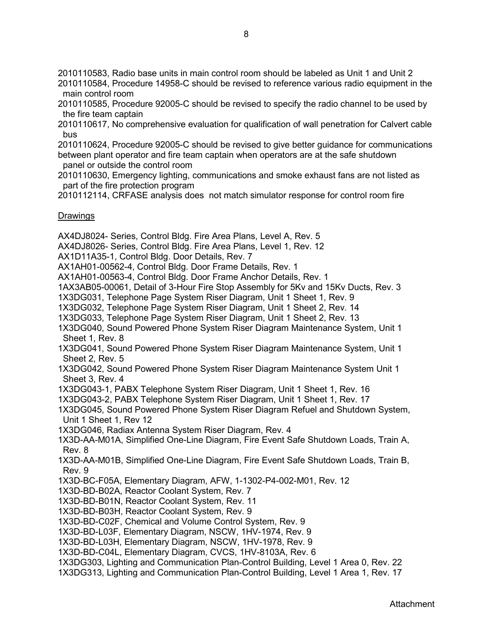2010110583, Radio base units in main control room should be labeled as Unit 1 and Unit 2

2010110584, Procedure 14958-C should be revised to reference various radio equipment in the main control room

2010110585, Procedure 92005-C should be revised to specify the radio channel to be used by the fire team captain

2010110617, No comprehensive evaluation for qualification of wall penetration for Calvert cable bus

2010110624, Procedure 92005-C should be revised to give better guidance for communications between plant operator and fire team captain when operators are at the safe shutdown panel or outside the control room

2010110630, Emergency lighting, communications and smoke exhaust fans are not listed as part of the fire protection program

2010112114, CRFASE analysis does not match simulator response for control room fire

#### Drawings

AX4DJ8024- Series, Control Bldg. Fire Area Plans, Level A, Rev. 5

AX4DJ8026- Series, Control Bldg. Fire Area Plans, Level 1, Rev. 12

AX1D11A35-1, Control Bldg. Door Details, Rev. 7

AX1AH01-00562-4, Control Bldg. Door Frame Details, Rev. 1

AX1AH01-00563-4, Control Bldg. Door Frame Anchor Details, Rev. 1

1AX3AB05-00061, Detail of 3-Hour Fire Stop Assembly for 5Kv and 15Kv Ducts, Rev. 3

1X3DG031, Telephone Page System Riser Diagram, Unit 1 Sheet 1, Rev. 9

1X3DG032, Telephone Page System Riser Diagram, Unit 1 Sheet 2, Rev. 14

1X3DG033, Telephone Page System Riser Diagram, Unit 1 Sheet 2, Rev. 13

- 1X3DG040, Sound Powered Phone System Riser Diagram Maintenance System, Unit 1 Sheet 1, Rev. 8
- 1X3DG041, Sound Powered Phone System Riser Diagram Maintenance System, Unit 1 Sheet 2, Rev. 5
- 1X3DG042, Sound Powered Phone System Riser Diagram Maintenance System Unit 1 Sheet 3, Rev. 4

1X3DG043-1, PABX Telephone System Riser Diagram, Unit 1 Sheet 1, Rev. 16

1X3DG043-2, PABX Telephone System Riser Diagram, Unit 1 Sheet 1, Rev. 17

1X3DG045, Sound Powered Phone System Riser Diagram Refuel and Shutdown System, Unit 1 Sheet 1, Rev 12

1X3DG046, Radiax Antenna System Riser Diagram, Rev. 4

1X3D-AA-M01A, Simplified One-Line Diagram, Fire Event Safe Shutdown Loads, Train A, Rev. 8

1X3D-AA-M01B, Simplified One-Line Diagram, Fire Event Safe Shutdown Loads, Train B, Rev. 9

1X3D-BC-F05A, Elementary Diagram, AFW, 1-1302-P4-002-M01, Rev. 12

1X3D-BD-B02A, Reactor Coolant System, Rev. 7

1X3D-BD-B01N, Reactor Coolant System, Rev. 11

1X3D-BD-B03H, Reactor Coolant System, Rev. 9

1X3D-BD-C02F, Chemical and Volume Control System, Rev. 9

1X3D-BD-L03F, Elementary Diagram, NSCW, 1HV-1974, Rev. 9

1X3D-BD-L03H, Elementary Diagram, NSCW, 1HV-1978, Rev. 9

1X3D-BD-C04L, Elementary Diagram, CVCS, 1HV-8103A, Rev. 6

1X3DG303, Lighting and Communication Plan-Control Building, Level 1 Area 0, Rev. 22

1X3DG313, Lighting and Communication Plan-Control Building, Level 1 Area 1, Rev. 17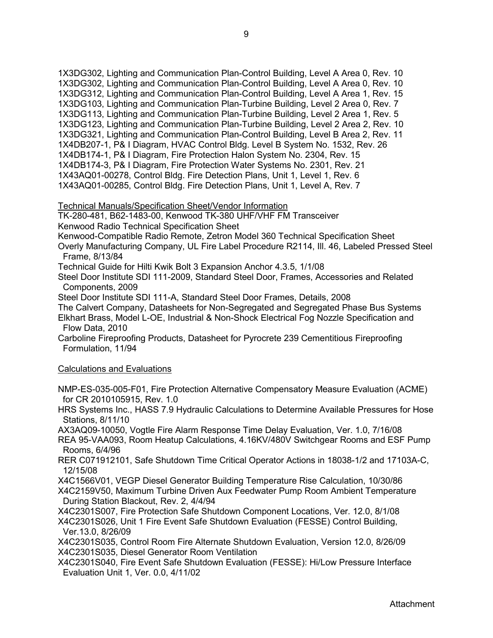1X3DG302, Lighting and Communication Plan-Control Building, Level A Area 0, Rev. 10 1X3DG302, Lighting and Communication Plan-Control Building, Level A Area 0, Rev. 10 1X3DG312, Lighting and Communication Plan-Control Building, Level A Area 1, Rev. 15 1X3DG103, Lighting and Communication Plan-Turbine Building, Level 2 Area 0, Rev. 7 1X3DG113, Lighting and Communication Plan-Turbine Building, Level 2 Area 1, Rev. 5 1X3DG123, Lighting and Communication Plan-Turbine Building, Level 2 Area 2, Rev. 10 1X3DG321, Lighting and Communication Plan-Control Building, Level B Area 2, Rev. 11 1X4DB207-1, P& I Diagram, HVAC Control Bldg. Level B System No. 1532, Rev. 26 1X4DB174-1, P& I Diagram, Fire Protection Halon System No. 2304, Rev. 15 1X4DB174-3, P& I Diagram, Fire Protection Water Systems No. 2301, Rev. 21 1X43AQ01-00278, Control Bldg. Fire Detection Plans, Unit 1, Level 1, Rev. 6 1X43AQ01-00285, Control Bldg. Fire Detection Plans, Unit 1, Level A, Rev. 7

# Technical Manuals/Specification Sheet/Vendor Information

TK-280-481, B62-1483-00, Kenwood TK-380 UHF/VHF FM Transceiver

Kenwood Radio Technical Specification Sheet

Kenwood-Compatible Radio Remote, Zetron Model 360 Technical Specification Sheet

Overly Manufacturing Company, UL Fire Label Procedure R2114, Ill. 46, Labeled Pressed Steel Frame, 8/13/84

Technical Guide for Hilti Kwik Bolt 3 Expansion Anchor 4.3.5, 1/1/08

Steel Door Institute SDI 111-2009, Standard Steel Door, Frames, Accessories and Related Components, 2009

Steel Door Institute SDI 111-A, Standard Steel Door Frames, Details, 2008

The Calvert Company, Datasheets for Non-Segregated and Segregated Phase Bus Systems

Elkhart Brass, Model L-OE, Industrial & Non-Shock Electrical Fog Nozzle Specification and Flow Data, 2010

Carboline Fireproofing Products, Datasheet for Pyrocrete 239 Cementitious Fireproofing Formulation, 11/94

#### Calculations and Evaluations

NMP-ES-035-005-F01, Fire Protection Alternative Compensatory Measure Evaluation (ACME) for CR 2010105915, Rev. 1.0

HRS Systems Inc., HASS 7.9 Hydraulic Calculations to Determine Available Pressures for Hose Stations, 8/11/10

AX3AQ09-10050, Vogtle Fire Alarm Response Time Delay Evaluation, Ver. 1.0, 7/16/08

REA 95-VAA093, Room Heatup Calculations, 4.16KV/480V Switchgear Rooms and ESF Pump Rooms, 6/4/96

RER C071912101, Safe Shutdown Time Critical Operator Actions in 18038-1/2 and 17103A-C, 12/15/08

X4C1566V01, VEGP Diesel Generator Building Temperature Rise Calculation, 10/30/86

X4C2159V50, Maximum Turbine Driven Aux Feedwater Pump Room Ambient Temperature During Station Blackout, Rev. 2, 4/4/94

X4C2301S007, Fire Protection Safe Shutdown Component Locations, Ver. 12.0, 8/1/08

X4C2301S026, Unit 1 Fire Event Safe Shutdown Evaluation (FESSE) Control Building, Ver.13.0, 8/26/09

X4C2301S035, Control Room Fire Alternate Shutdown Evaluation, Version 12.0, 8/26/09 X4C2301S035, Diesel Generator Room Ventilation

X4C2301S040, Fire Event Safe Shutdown Evaluation (FESSE): Hi/Low Pressure Interface Evaluation Unit 1, Ver. 0.0, 4/11/02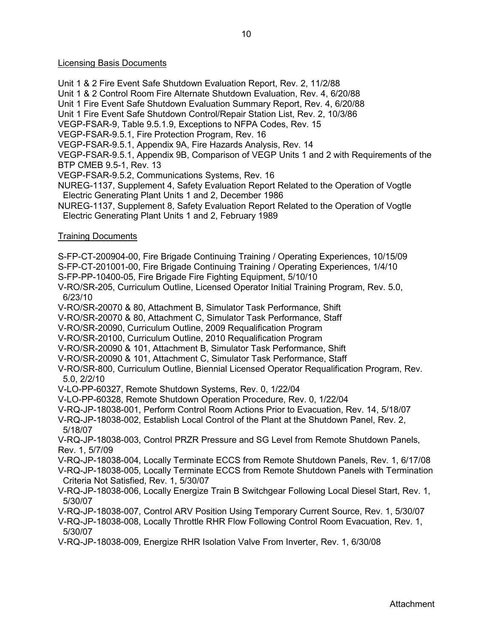# Licensing Basis Documents

Unit 1 & 2 Fire Event Safe Shutdown Evaluation Report, Rev. 2, 11/2/88

Unit 1 & 2 Control Room Fire Alternate Shutdown Evaluation, Rev. 4, 6/20/88

Unit 1 Fire Event Safe Shutdown Evaluation Summary Report, Rev. 4, 6/20/88

Unit 1 Fire Event Safe Shutdown Control/Repair Station List, Rev. 2, 10/3/86

VEGP-FSAR-9, Table 9.5.1.9, Exceptions to NFPA Codes, Rev. 15

VEGP-FSAR-9.5.1, Fire Protection Program, Rev. 16

VEGP-FSAR-9.5.1, Appendix 9A, Fire Hazards Analysis, Rev. 14

VEGP-FSAR-9.5.1, Appendix 9B, Comparison of VEGP Units 1 and 2 with Requirements of the BTP CMEB 9.5-1, Rev. 13

VEGP-FSAR-9.5.2, Communications Systems, Rev. 16

NUREG-1137, Supplement 4, Safety Evaluation Report Related to the Operation of Vogtle Electric Generating Plant Units 1 and 2, December 1986

NUREG-1137, Supplement 8, Safety Evaluation Report Related to the Operation of Vogtle Electric Generating Plant Units 1 and 2, February 1989

# Training Documents

S-FP-CT-200904-00, Fire Brigade Continuing Training / Operating Experiences, 10/15/09

S-FP-CT-201001-00, Fire Brigade Continuing Training / Operating Experiences, 1/4/10

S-FP-PP-10400-05, Fire Brigade Fire Fighting Equipment, 5/10/10

V-RO/SR-205, Curriculum Outline, Licensed Operator Initial Training Program, Rev. 5.0, 6/23/10

V-RO/SR-20070 & 80, Attachment B, Simulator Task Performance, Shift

V-RO/SR-20070 & 80, Attachment C, Simulator Task Performance, Staff

V-RO/SR-20090, Curriculum Outline, 2009 Requalification Program

V-RO/SR-20100, Curriculum Outline, 2010 Requalification Program

V-RO/SR-20090 & 101, Attachment B, Simulator Task Performance, Shift

V-RO/SR-20090 & 101, Attachment C, Simulator Task Performance, Staff

V-RO/SR-800, Curriculum Outline, Biennial Licensed Operator Requalification Program, Rev. 5.0, 2/2/10

V-LO-PP-60327, Remote Shutdown Systems, Rev. 0, 1/22/04

V-LO-PP-60328, Remote Shutdown Operation Procedure, Rev. 0, 1/22/04

V-RQ-JP-18038-001, Perform Control Room Actions Prior to Evacuation, Rev. 14, 5/18/07

V-RQ-JP-18038-002, Establish Local Control of the Plant at the Shutdown Panel, Rev. 2, 5/18/07

V-RQ-JP-18038-003, Control PRZR Pressure and SG Level from Remote Shutdown Panels, Rev. 1, 5/7/09

V-RQ-JP-18038-004, Locally Terminate ECCS from Remote Shutdown Panels, Rev. 1, 6/17/08 V-RQ-JP-18038-005, Locally Terminate ECCS from Remote Shutdown Panels with Termination

Criteria Not Satisfied, Rev. 1, 5/30/07

V-RQ-JP-18038-006, Locally Energize Train B Switchgear Following Local Diesel Start, Rev. 1, 5/30/07

V-RQ-JP-18038-007, Control ARV Position Using Temporary Current Source, Rev. 1, 5/30/07

V-RQ-JP-18038-008, Locally Throttle RHR Flow Following Control Room Evacuation, Rev. 1, 5/30/07

V-RQ-JP-18038-009, Energize RHR Isolation Valve From Inverter, Rev. 1, 6/30/08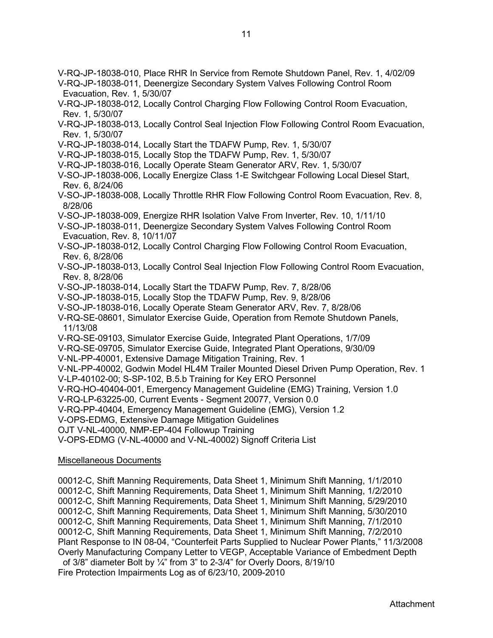- V-RQ-JP-18038-010, Place RHR In Service from Remote Shutdown Panel, Rev. 1, 4/02/09
- V-RQ-JP-18038-011, Deenergize Secondary System Valves Following Control Room Evacuation, Rev. 1, 5/30/07
- V-RQ-JP-18038-012, Locally Control Charging Flow Following Control Room Evacuation, Rev. 1, 5/30/07
- V-RQ-JP-18038-013, Locally Control Seal Injection Flow Following Control Room Evacuation, Rev. 1, 5/30/07
- V-RQ-JP-18038-014, Locally Start the TDAFW Pump, Rev. 1, 5/30/07
- V-RQ-JP-18038-015, Locally Stop the TDAFW Pump, Rev. 1, 5/30/07
- V-RQ-JP-18038-016, Locally Operate Steam Generator ARV, Rev. 1, 5/30/07
- V-SO-JP-18038-006, Locally Energize Class 1-E Switchgear Following Local Diesel Start, Rev. 6, 8/24/06
- V-SO-JP-18038-008, Locally Throttle RHR Flow Following Control Room Evacuation, Rev. 8, 8/28/06
- V-SO-JP-18038-009, Energize RHR Isolation Valve From Inverter, Rev. 10, 1/11/10
- V-SO-JP-18038-011, Deenergize Secondary System Valves Following Control Room Evacuation, Rev. 8, 10/11/07
- V-SO-JP-18038-012, Locally Control Charging Flow Following Control Room Evacuation, Rev. 6, 8/28/06
- V-SO-JP-18038-013, Locally Control Seal Injection Flow Following Control Room Evacuation, Rev. 8, 8/28/06
- V-SO-JP-18038-014, Locally Start the TDAFW Pump, Rev. 7, 8/28/06
- V-SO-JP-18038-015, Locally Stop the TDAFW Pump, Rev. 9, 8/28/06
- V-SO-JP-18038-016, Locally Operate Steam Generator ARV, Rev. 7, 8/28/06
- V-RQ-SE-08601, Simulator Exercise Guide, Operation from Remote Shutdown Panels, 11/13/08
- V-RQ-SE-09103, Simulator Exercise Guide, Integrated Plant Operations, 1/7/09
- V-RQ-SE-09705, Simulator Exercise Guide, Integrated Plant Operations, 9/30/09
- V-NL-PP-40001, Extensive Damage Mitigation Training, Rev. 1
- V-NL-PP-40002, Godwin Model HL4M Trailer Mounted Diesel Driven Pump Operation, Rev. 1
- V-LP-40102-00; S-SP-102, B.5.b Training for Key ERO Personnel
- V-RQ-HO-40404-001, Emergency Management Guideline (EMG) Training, Version 1.0
- V-RQ-LP-63225-00, Current Events Segment 20077, Version 0.0
- V-RQ-PP-40404, Emergency Management Guideline (EMG), Version 1.2
- V-OPS-EDMG, Extensive Damage Mitigation Guidelines
- OJT V-NL-40000, NMP-EP-404 Followup Training
- V-OPS-EDMG (V-NL-40000 and V-NL-40002) Signoff Criteria List

# Miscellaneous Documents

00012-C, Shift Manning Requirements, Data Sheet 1, Minimum Shift Manning, 1/1/2010 00012-C, Shift Manning Requirements, Data Sheet 1, Minimum Shift Manning, 1/2/2010 00012-C, Shift Manning Requirements, Data Sheet 1, Minimum Shift Manning, 5/29/2010 00012-C, Shift Manning Requirements, Data Sheet 1, Minimum Shift Manning, 5/30/2010 00012-C, Shift Manning Requirements, Data Sheet 1, Minimum Shift Manning, 7/1/2010 00012-C, Shift Manning Requirements, Data Sheet 1, Minimum Shift Manning, 7/2/2010 Plant Response to IN 08-04, "Counterfeit Parts Supplied to Nuclear Power Plants," 11/3/2008 Overly Manufacturing Company Letter to VEGP, Acceptable Variance of Embedment Depth of 3/8" diameter Bolt by ¼" from 3" to 2-3/4" for Overly Doors, 8/19/10 Fire Protection Impairments Log as of 6/23/10, 2009-2010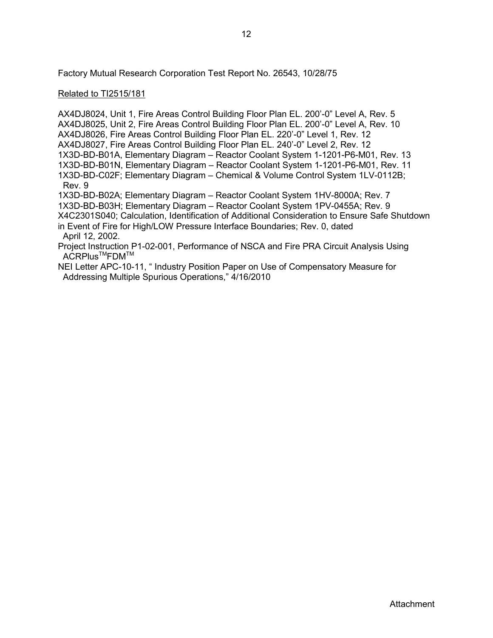Factory Mutual Research Corporation Test Report No. 26543, 10/28/75

# Related to TI2515/181

AX4DJ8024, Unit 1, Fire Areas Control Building Floor Plan EL. 200'-0" Level A, Rev. 5 AX4DJ8025, Unit 2, Fire Areas Control Building Floor Plan EL. 200'-0" Level A, Rev. 10 AX4DJ8026, Fire Areas Control Building Floor Plan EL. 220'-0" Level 1, Rev. 12 AX4DJ8027, Fire Areas Control Building Floor Plan EL. 240'-0" Level 2, Rev. 12 1X3D-BD-B01A, Elementary Diagram – Reactor Coolant System 1-1201-P6-M01, Rev. 13 1X3D-BD-B01N, Elementary Diagram – Reactor Coolant System 1-1201-P6-M01, Rev. 11 1X3D-BD-C02F; Elementary Diagram – Chemical & Volume Control System 1LV-0112B; Rev. 9 1X3D-BD-B02A; Elementary Diagram – Reactor Coolant System 1HV-8000A; Rev. 7

1X3D-BD-B03H; Elementary Diagram – Reactor Coolant System 1PV-0455A; Rev. 9 X4C2301S040; Calculation, Identification of Additional Consideration to Ensure Safe Shutdown

in Event of Fire for High/LOW Pressure Interface Boundaries; Rev. 0, dated April 12, 2002.

Project Instruction P1-02-001, Performance of NSCA and Fire PRA Circuit Analysis Using ACRPlus<sup>™</sup>FDM<sup>™</sup>

NEI Letter APC-10-11, " Industry Position Paper on Use of Compensatory Measure for Addressing Multiple Spurious Operations," 4/16/2010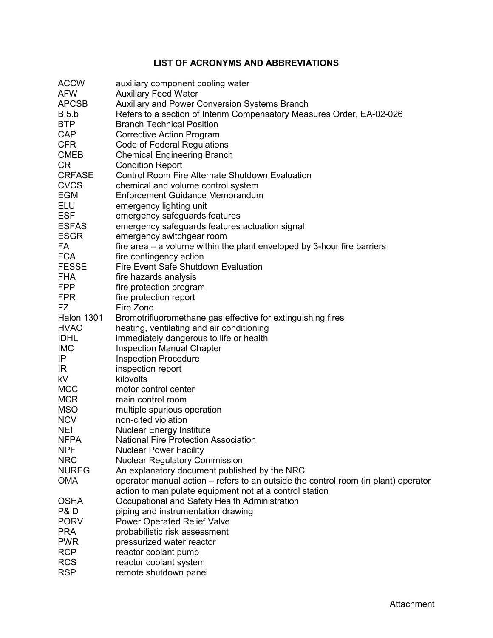# **LIST OF ACRONYMS AND ABBREVIATIONS**

| <b>ACCW</b>              | auxiliary component cooling water                                                   |
|--------------------------|-------------------------------------------------------------------------------------|
| <b>AFW</b>               | <b>Auxiliary Feed Water</b>                                                         |
| <b>APCSB</b>             | <b>Auxiliary and Power Conversion Systems Branch</b>                                |
| B.5.b                    | Refers to a section of Interim Compensatory Measures Order, EA-02-026               |
| <b>BTP</b>               | <b>Branch Technical Position</b>                                                    |
| <b>CAP</b>               | <b>Corrective Action Program</b>                                                    |
| <b>CFR</b>               | Code of Federal Regulations                                                         |
| <b>CMEB</b>              | <b>Chemical Engineering Branch</b>                                                  |
| CR                       | <b>Condition Report</b>                                                             |
| <b>CRFASE</b>            | <b>Control Room Fire Alternate Shutdown Evaluation</b>                              |
| <b>CVCS</b>              | chemical and volume control system                                                  |
| <b>EGM</b>               | <b>Enforcement Guidance Memorandum</b>                                              |
| <b>ELU</b>               | emergency lighting unit                                                             |
| <b>ESF</b>               | emergency safeguards features                                                       |
| <b>ESFAS</b>             | emergency safeguards features actuation signal                                      |
| <b>ESGR</b>              | emergency switchgear room                                                           |
| FA                       | fire area $-$ a volume within the plant enveloped by 3-hour fire barriers           |
| <b>FCA</b>               | fire contingency action                                                             |
| <b>FESSE</b>             | Fire Event Safe Shutdown Evaluation                                                 |
| <b>FHA</b>               | fire hazards analysis                                                               |
| <b>FPP</b>               | fire protection program                                                             |
| <b>FPR</b>               | fire protection report                                                              |
| <b>FZ</b>                | Fire Zone                                                                           |
| <b>Halon 1301</b>        | Bromotrifluoromethane gas effective for extinguishing fires                         |
| <b>HVAC</b>              | heating, ventilating and air conditioning                                           |
| <b>IDHL</b>              | immediately dangerous to life or health                                             |
| <b>IMC</b>               | <b>Inspection Manual Chapter</b>                                                    |
| IP                       | <b>Inspection Procedure</b>                                                         |
| IR.                      | inspection report                                                                   |
| kV                       | kilovolts                                                                           |
| <b>MCC</b>               | motor control center                                                                |
| <b>MCR</b>               | main control room                                                                   |
| <b>MSO</b>               | multiple spurious operation                                                         |
| <b>NCV</b>               | non-cited violation                                                                 |
| <b>NEI</b>               | <b>Nuclear Energy Institute</b>                                                     |
| <b>NFPA</b>              | National Fire Protection Association                                                |
| <b>NPF</b>               | <b>Nuclear Power Facility</b>                                                       |
| <b>NRC</b>               | <b>Nuclear Regulatory Commission</b>                                                |
| <b>NUREG</b>             | An explanatory document published by the NRC                                        |
| <b>OMA</b>               | operator manual action – refers to an outside the control room (in plant) operator  |
|                          | action to manipulate equipment not at a control station                             |
| <b>OSHA</b>              |                                                                                     |
| P&ID                     | Occupational and Safety Health Administration<br>piping and instrumentation drawing |
| <b>PORV</b>              |                                                                                     |
|                          | <b>Power Operated Relief Valve</b>                                                  |
| <b>PRA</b><br><b>PWR</b> | probabilistic risk assessment                                                       |
| <b>RCP</b>               | pressurized water reactor                                                           |
| <b>RCS</b>               | reactor coolant pump                                                                |
|                          | reactor coolant system                                                              |
| <b>RSP</b>               | remote shutdown panel                                                               |